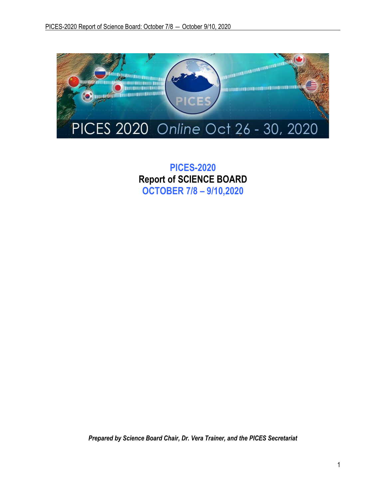

**PICES-2020 Report of SCIENCE BOARD OCTOBER 7/8 – 9/10,2020**

*Prepared by Science Board Chair, Dr. Vera Trainer, and the PICES Secretariat*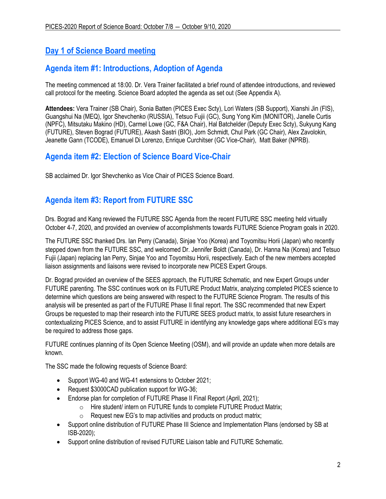# **Day 1 of Science Board meeting**

# **Agenda item #1: Introductions, Adoption of Agenda**

The meeting commenced at 18:00. Dr. Vera Trainer facilitated a brief round of attendee introductions, and reviewed call protocol for the meeting. Science Board adopted the agenda as set out (See Appendix A).

**Attendees:** Vera Trainer (SB Chair), Sonia Batten (PICES Exec Scty), Lori Waters (SB Support), Xianshi Jin (FIS), Guangshui Na (MEQ), Igor Shevchenko (RUSSIA), Tetsuo Fujii (GC), Sung Yong Kim (MONITOR), Janelle Curtis (NPFC), Mitsutaku Makino (HD), Carmel Lowe (GC, F&A Chair), Hal Batchelder (Deputy Exec Scty), Sukyung Kang (FUTURE), Steven Bograd (FUTURE), Akash Sastri (BIO), Jorn Schmidt, Chul Park (GC Chair), Alex Zavolokin, Jeanette Gann (TCODE), Emanuel Di Lorenzo, Enrique Curchitser (GC Vice-Chair), Matt Baker (NPRB).

# **Agenda item #2: Election of Science Board Vice-Chair**

SB acclaimed Dr. Igor Shevchenko as Vice Chair of PICES Science Board.

# **Agenda item #3: Report from FUTURE SSC**

Drs. Bograd and Kang reviewed the FUTURE SSC Agenda from the recent FUTURE SSC meeting held virtually October 4-7, 2020, and provided an overview of accomplishments towards FUTURE Science Program goals in 2020.

The FUTURE SSC thanked Drs. Ian Perry (Canada), Sinjae Yoo (Korea) and Toyomitsu Horii (Japan) who recently stepped down from the FUTURE SSC, and welcomed Dr. Jennifer Boldt (Canada), Dr. Hanna Na (Korea) and Tetsuo Fujii (Japan) replacing Ian Perry, Sinjae Yoo and Toyomitsu Horii, respectively. Each of the new members accepted liaison assignments and liaisons were revised to incorporate new PICES Expert Groups.

Dr. Bograd provided an overview of the SEES approach, the FUTURE Schematic, and new Expert Groups under FUTURE parenting. The SSC continues work on its FUTURE Product Matrix, analyzing completed PICES science to determine which questions are being answered with respect to the FUTURE Science Program. The results of this analysis will be presented as part of the FUTURE Phase II final report. The SSC recommended that new Expert Groups be requested to map their research into the FUTURE SEES product matrix, to assist future researchers in contextualizing PICES Science, and to assist FUTURE in identifying any knowledge gaps where additional EG's may be required to address those gaps.

FUTURE continues planning of its Open Science Meeting (OSM), and will provide an update when more details are known.

The SSC made the following requests of Science Board:

- Support WG-40 and WG-41 extensions to October 2021;
- Request \$3000CAD publication support for WG-36;
- Endorse plan for completion of FUTURE Phase II Final Report (April, 2021);
	- o Hire student/ intern on FUTURE funds to complete FUTURE Product Matrix;
	- $\circ$  Request new EG's to map activities and products on product matrix;
- Support online distribution of FUTURE Phase III Science and Implementation Plans (endorsed by SB at ISB-2020);
- Support online distribution of revised FUTURE Liaison table and FUTURE Schematic.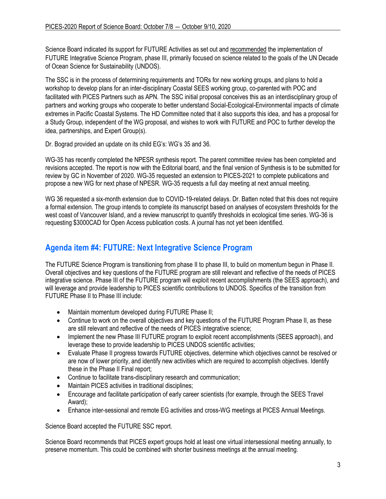Science Board indicated its support for FUTURE Activities as set out and recommended the implementation of FUTURE Integrative Science Program, phase III, primarily focused on science related to the goals of the UN Decade of Ocean Science for Sustainability (UNDOS).

The SSC is in the process of determining requirements and TORs for new working groups, and plans to hold a workshop to develop plans for an inter-disciplinary Coastal SEES working group, co-parented with POC and facilitated with PICES Partners such as APN. The SSC initial proposal conceives this as an interdisciplinary group of partners and working groups who cooperate to better understand Social-Ecological-Environmental impacts of climate extremes in Pacific Coastal Systems. The HD Committee noted that it also supports this idea, and has a proposal for a Study Group, independent of the WG proposal, and wishes to work with FUTURE and POC to further develop the idea, partnerships, and Expert Group(s).

Dr. Bograd provided an update on its child EG's: WG's 35 and 36.

WG-35 has recently completed the NPESR synthesis report. The parent committee review has been completed and revisions accepted. The report is now with the Editorial board, and the final version of Synthesis is to be submitted for review by GC in November of 2020. WG-35 requested an extension to PICES-2021 to complete publications and propose a new WG for next phase of NPESR. WG-35 requests a full day meeting at next annual meeting.

WG 36 requested a six-month extension due to COVID-19-related delays. Dr. Batten noted that this does not require a formal extension. The group intends to complete its manuscript based on analyses of ecosystem thresholds for the west coast of Vancouver Island, and a review manuscript to quantify thresholds in ecological time series. WG-36 is requesting \$3000CAD for Open Access publication costs. A journal has not yet been identified.

# **Agenda item #4: FUTURE: Next Integrative Science Program**

The FUTURE Science Program is transitioning from phase II to phase III, to build on momentum begun in Phase II. Overall objectives and key questions of the FUTURE program are still relevant and reflective of the needs of PICES integrative science. Phase III of the FUTURE program will exploit recent accomplishments (the SEES approach), and will leverage and provide leadership to PICES scientific contributions to UNDOS. Specifics of the transition from FUTURE Phase II to Phase III include:

- Maintain momentum developed during FUTURE Phase II;
- Continue to work on the overall objectives and key questions of the FUTURE Program Phase II, as these are still relevant and reflective of the needs of PICES integrative science;
- Implement the new Phase III FUTURE program to exploit recent accomplishments (SEES approach), and leverage these to provide leadership to PICES UNDOS scientific activities;
- Evaluate Phase II progress towards FUTURE objectives, determine which objectives cannot be resolved or are now of lower priority, and identify new activities which are required to accomplish objectives. Identify these in the Phase II Final report;
- Continue to facilitate trans-disciplinary research and communication;
- Maintain PICES activities in traditional disciplines:
- Encourage and facilitate participation of early career scientists (for example, through the SEES Travel Award);
- Enhance inter-sessional and remote EG activities and cross-WG meetings at PICES Annual Meetings.

Science Board accepted the FUTURE SSC report.

Science Board recommends that PICES expert groups hold at least one virtual intersessional meeting annually, to preserve momentum. This could be combined with shorter business meetings at the annual meeting.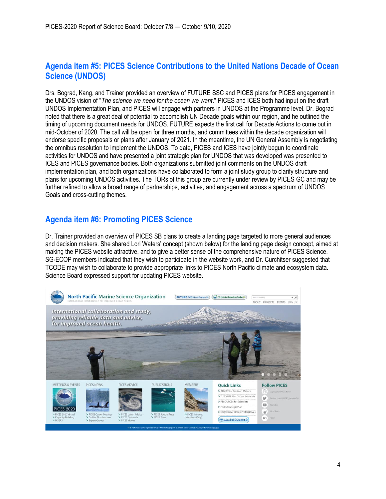# **Agenda item #5: PICES Science Contributions to the United Nations Decade of Ocean Science (UNDOS)**

Drs. Bograd, Kang, and Trainer provided an overview of FUTURE SSC and PICES plans for PICES engagement in the UNDOS vision of "*The science we need for the ocean we want*." PICES and ICES both had input on the draft UNDOS Implementation Plan, and PICES will engage with partners in UNDOS at the Programme level. Dr. Bograd noted that there is a great deal of potential to accomplish UN Decade goals within our region, and he outlined the timing of upcoming document needs for UNDOS. FUTURE expects the first call for Decade Actions to come out in mid-October of 2020. The call will be open for three months, and committees within the decade organization will endorse specific proposals or plans after January of 2021. In the meantime, the UN General Assembly is negotiating the omnibus resolution to implement the UNDOS. To date, PICES and ICES have jointly begun to coordinate activities for UNDOS and have presented a joint strategic plan for UNDOS that was developed was presented to ICES and PICES governance bodies. Both organizations submitted joint comments on the UNDOS draft implementation plan, and both organizations have collaborated to form a joint study group to clarify structure and plans for upcoming UNDOS activities. The TORs of this group are currently under review by PICES GC and may be further refined to allow a broad range of partnerships, activities, and engagement across a spectrum of UNDOS Goals and cross-cutting themes.

# **Agenda item #6: Promoting PICES Science**

Dr. Trainer provided an overview of PICES SB plans to create a landing page targeted to more general audiences and decision makers. She shared Lori Waters' concept (shown below) for the landing page design concept, aimed at making the PICES website attractive, and to give a better sense of the comprehensive nature of PICES Science. SG-ECOP members indicated that they wish to participate in the website work, and Dr. Curchitser suggested that TCODE may wish to collaborate to provide appropriate links to PICES North Pacific climate and ecosystem data. Science Board expressed support for updating PICES website.

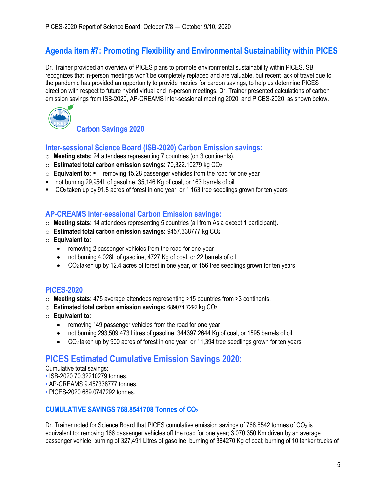# **Agenda item #7: Promoting Flexibility and Environmental Sustainability within PICES**

Dr. Trainer provided an overview of PICES plans to promote environmental sustainability within PICES. SB recognizes that in-person meetings won't be completely replaced and are valuable, but recent lack of travel due to the pandemic has provided an opportunity to provide metrics for carbon savings, to help us determine PICES direction with respect to future hybrid virtual and in-person meetings. Dr. Trainer presented calculations of carbon emission savings from ISB-2020, AP-CREAMS inter-sessional meeting 2020, and PICES-2020, as shown below.



**Carbon Savings 2020** 

## **Inter-sessional Science Board (ISB-2020) Carbon Emission savings:**

- o **Meeting stats:** 24 attendees representing 7 countries (on 3 continents).
- o **Estimated total carbon emission savings:** 70,322.10279 kg CO<sup>2</sup>
- o **Equivalent to:**  removing 15.28 passenger vehicles from the road for one year
- not burning 29,954L of gasoline, 35,146 Kg of coal, or 163 barrels of oil
- CO<sub>2</sub> taken up by 91.8 acres of forest in one year, or 1,163 tree seedlings grown for ten years

## **AP-CREAMS Inter-sessional Carbon Emission savings:**

- o **Meeting stats:** 14 attendees representing 5 countries (all from Asia except 1 participant).
- o **Estimated total carbon emission savings:** 9457.338777 kg CO<sup>2</sup>
- o **Equivalent to:**
	- removing 2 passenger vehicles from the road for one year
	- not burning 4,028L of gasoline, 4727 Kg of coal, or 22 barrels of oil
	- CO2 taken up by 12.4 acres of forest in one year, or 156 tree seedlings grown for ten years

## **PICES-2020**

- o **Meeting stats:** 475 average attendees representing >15 countries from >3 continents.
- o **Estimated total carbon emission savings:** 689074.7292 kg CO<sup>2</sup>
- o **Equivalent to:** 
	- removing 149 passenger vehicles from the road for one year
	- not burning 293,509.473 Litres of gasoline, 344397.2644 Kg of coal, or 1595 barrels of oil
	- CO2 taken up by 900 acres of forest in one year, or 11,394 tree seedlings grown for ten years

# **PICES Estimated Cumulative Emission Savings 2020:**

Cumulative total savings:

- ISB-2020 70.32210279 tonnes.
- AP-CREAMS 9.457338777 tonnes.
- PICES-2020 689.0747292 tonnes.

## **CUMULATIVE SAVINGS 768.8541708 Tonnes of CO<sup>2</sup>**

Dr. Trainer noted for Science Board that PICES cumulative emission savings of 768.8542 tonnes of  $CO<sub>2</sub>$  is equivalent to: removing 166 passenger vehicles off the road for one year; 3,070,350 Km driven by an average passenger vehicle; burning of 327,491 Litres of gasoline; burning of 384270 Kg of coal; burning of 10 tanker trucks of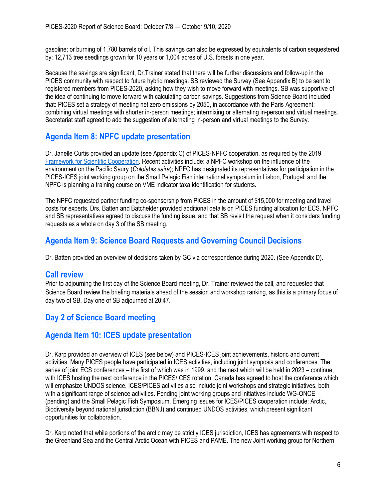gasoline; or burning of 1,780 barrels of oil. This savings can also be expressed by equivalents of carbon sequestered by: 12,713 tree seedlings grown for 10 years or 1,004 acres of U.S. forests in one year.

Because the savings are significant, Dr.Trainer stated that there will be further discussions and follow-up in the PICES community with respect to future hybrid meetings. SB reviewed the Survey (See Appendix B) to be sent to registered members from PICES-2020, asking how they wish to move forward with meetings. SB was supportive of the idea of continuing to move forward with calculating carbon savings. Suggestions from Science Board included that: PICES set a strategy of meeting net zero emissions by 2050, in accordance with the Paris Agreement; combining virtual meetings with shorter in-person meetings; intermixing or alternating in-person and virtual meetings. Secretariat staff agreed to add the suggestion of alternating in-person and virtual meetings to the Survey.

# **Agenda Item 8: NPFC update presentation**

Dr. Janelle Curtis provided an update (see Appendix C) of PICES-NPFC cooperation, as required by the 2019 [Framework for Scientific Cooperation.](https://meetings.pices.int/publications/annual-reports/2019/2019-SG-PICES-NPFC.pdf) Recent activities include: a NPFC workshop on the influence of the environment on the Pacific Saury (*Cololabis saira*); NPFC has designated its representatives for participation in the PICES-ICES joint working group on the Small Pelagic Fish international symposium in Lisbon, Portugal; and the NPFC is planning a training course on VME indicator taxa identification for students.

The NPFC requested partner funding co-sponsorship from PICES in the amount of \$15,000 for meeting and travel costs for experts. Drs. Batten and Batchelder provided additional details on PICES funding allocation for ECS. NPFC and SB representatives agreed to discuss the funding issue, and that SB revisit the request when it considers funding requests as a whole on day 3 of the SB meeting.

# **Agenda Item 9: Science Board Requests and Governing Council Decisions**

Dr. Batten provided an overview of decisions taken by GC via correspondence during 2020. (See Appendix D).

## **Call review**

Prior to adjourning the first day of the Science Board meeting, Dr. Trainer reviewed the call, and requested that Science Board review the briefing materials ahead of the session and workshop ranking, as this is a primary focus of day two of SB. Day one of SB adjourned at 20:47.

# **Day 2 of Science Board meeting**

# **Agenda Item 10: ICES update presentation**

Dr. Karp provided an overview of ICES (see below) and PICES-ICES joint achievements, historic and current activities. Many PICES people have participated in ICES activities, including joint symposia and conferences. The series of joint ECS conferences – the first of which was in 1999, and the next which will be held in 2023 – continue, with ICES hosting the next conference in the PICES/ICES rotation. Canada has agreed to host the conference which will emphasize UNDOS science. ICES/PICES activities also include joint workshops and strategic initiatives, both with a significant range of science activities. Pending joint working groups and initiatives include WG-ONCE (pending) and the Small Pelagic Fish Symposium. Emerging issues for ICES/PICES cooperation include: Arctic, Biodiversity beyond national jurisdiction (BBNJ) and continued UNDOS activities, which present significant opportunities for collaboration.

Dr. Karp noted that while portions of the arctic may be strictly ICES jurisdiction, ICES has agreements with respect to the Greenland Sea and the Central Arctic Ocean with PICES and PAME. The new Joint working group for Northern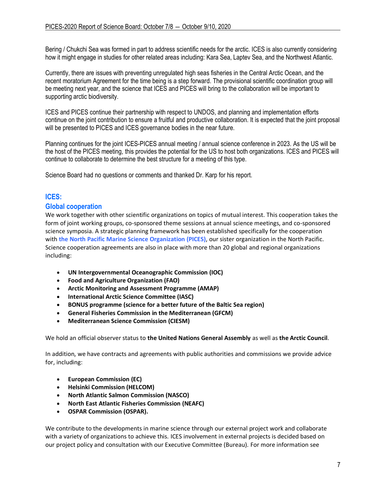Bering / Chukchi Sea was formed in part to address scientific needs for the arctic. ICES is also currently considering how it might engage in studies for other related areas including: Kara Sea, Laptev Sea, and the Northwest Atlantic.

Currently, there are issues with preventing unregulated high seas fisheries in the Central Arctic Ocean, and the recent moratorium Agreement for the time being is a step forward. The provisional scientific coordination group will be meeting next year, and the science that ICES and PICES will bring to the collaboration will be important to supporting arctic biodiversity.

ICES and PICES continue their partnership with respect to UNDOS, and planning and implementation efforts continue on the joint contribution to ensure a fruitful and productive collaboration. It is expected that the joint proposal will be presented to PICES and ICES governance bodies in the near future.

Planning continues for the joint ICES-PICES annual meeting / annual science conference in 2023. As the US will be the host of the PICES meeting, this provides the potential for the US to host both organizations. ICES and PICES will continue to collaborate to determine the best structure for a meeting of this type.

Science Board had no questions or comments and thanked Dr. Karp for his report.

## **ICES:**

### **Global cooperation**

We work together with other scientific organizations on topics of mutual interest. This cooperation takes the form of joint working groups, co-sponsored theme sessions at annual science meetings, and co-sponsored science symposia. A strategic planning framework has been established specifically for the cooperation with **[the North Pacific Marine Science Organization \(PICES\)](https://meetings.pices.int/)**, our sister organization in the North Pacific. Science cooperation agreements are also in place with more than 20 global and regional organizations including:

- **[UN Intergovernmental Oceanographic Commission \(IOC\)](http://ioc-unesco.org/)**
- **[Food and Agriculture Organization \(FAO\)](http://www.fao.org/home/en/)**
- **[Arctic Monitoring and Assessment Programme \(AMAP\)](http://www.amap.no/)**
- **[International Arctic Science Committee \(IASC\)](http://www.iasc.info/)**
- **[BONUS programme \(science for a better future](http://www.bonusportal.org/) of the Baltic Sea region)**
- **[General Fisheries Commission in the Mediterranean \(GFCM\)](http://www.gfcm.org/gfcm/en)**
- **[Mediterranean Science Commission \(CIESM\)](http://www.ciesm.org/)**

We hold an official observer status to **[the United Nations General Assembly](https://www.ices.dk/news-and-events/news-archive/news/Pages/ICES_becomes_UN_observer.aspx)** as well as **[the Arctic Council](https://www.ices.dk/news-and-events/news-archive/news/Pages/ICES-becomes-Arctic-Council-observer.aspx)**.

In addition, we have contracts and agreements with public authorities and commissions we provide advice for, including:

- **[European Commission](http://ec.europa.eu/index_en.htm) (EC)**
- **[Helsinki Commission \(HELCOM\)](http://helcom.fi/)**
- **[North Atlantic Salmon Commission \(NASCO\)](http://www.nasco.int/about.html)**
- **[North East Atlantic Fisheries Commission \(NEAFC\)](http://www.neafc.org/)**
- **[OSPAR Commission \(OSPAR\).](http://www.ospar.org/)**

We contribute to the developments in marine science through our external project work and collaborate with a variety of organizations to achieve this. ICES involvement in external projects is decided based on our project policy and consultation with our Executive Committee (Bureau). For more information see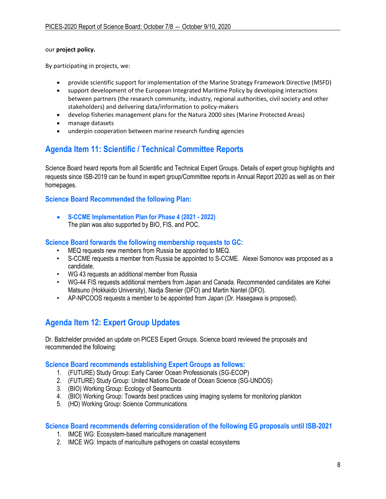### our **[project policy.](https://www.ices.dk/about-ICES/projects/Pages/ICES-Project-Policy.aspx)**

By participating in projects, we:

- provide scientific support for implementation of the Marine Strategy Framework Directive (MSFD)
- support development of the European Integrated Maritime Policy by developing interactions between partners (the research community, industry, regional authorities, civil society and other stakeholders) and delivering data/information to policy-makers
- develop fisheries management plans for the Natura 2000 sites (Marine Protected Areas)
- manage datasets
- underpin cooperation between marine research funding agencies

## **Agenda Item 11: Scientific / Technical Committee Reports**

Science Board heard reports from all Scientific and Technical Expert Groups. Details of expert group highlights and requests since ISB-2019 can be found in expert group/Committee reports in Annual Report 2020 as well as on their homepages.

### **Science Board Recommended the following Plan:**

• **S-CCME Implementation Plan for Phase 4 (2021 - 2022)** The plan was also supported by BIO, FIS, and POC.

### **Science Board forwards the following membership requests to GC:**

- MEQ requests new members from Russia be appointed to MEQ.
- S-CCME requests a member from Russia be appointed to S-CCME. Alexei Somonov was proposed as a candidate.
- WG 43 requests an additional member from Russia
- WG-44 FIS requests additional members from Japan and Canada. Recommended candidates are Kohei Matsuno (Hokkaido University), Nadja Stenier (DFO) and Martin Nantel (DFO).
- AP-NPCOOS requests a member to be appointed from Japan (Dr. Hasegawa is proposed).

# **Agenda Item 12: Expert Group Updates**

Dr. Batchelder provided an update on PICES Expert Groups. Science board reviewed the proposals and recommended the following:

### **Science Board recommends establishing Expert Groups as follows:**

- 1. (FUTURE) Study Group: Early Career Ocean Professionals (SG-ECOP)
- 2. (FUTURE) Study Group: United Nations Decade of Ocean Science (SG-UNDOS)
- 3. (BIO) Working Group: Ecology of Seamounts
- 4. (BIO) Working Group: Towards best practices using imaging systems for monitoring plankton
- 5. (HD) Working Group: Science Communications

### **Science Board recommends deferring consideration of the following EG proposals until ISB-2021**

- 1. IMCE WG: Ecosystem-based mariculture management
- 2. IMCE WG: Impacts of mariculture pathogens on coastal ecosystems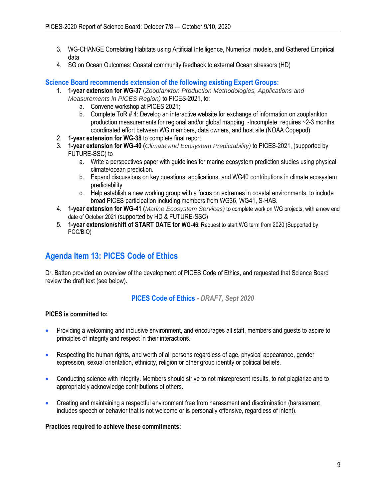- 3. WG-CHANGE Correlating Habitats using Artificial Intelligence, Numerical models, and Gathered Empirical data
- 4. SG on Ocean Outcomes: Coastal community feedback to external Ocean stressors (HD)

**Science Board recommends extension of the following existing Expert Groups:**

- 1. **1-year extension for WG-37** (*Zooplankton Production Methodologies, Applications and Measurements in PICES Region)* to PICES-2021, to:
	- a. Convene workshop at PICES 2021;
	- b. Complete ToR # 4: Develop an interactive website for exchange of information on zooplankton production measurements for regional and/or global mapping. -Incomplete: requires ~2-3 months coordinated effort between WG members, data owners, and host site (NOAA Copepod)
- 2. **1-year extension for WG-38** to complete final report.
- 3. **1-year extension for WG-40 (***Climate and Ecosystem Predictability)* to PICES-2021, (supported by FUTURE-SSC) to
	- a. Write a perspectives paper with guidelines for marine ecosystem prediction studies using physical climate/ocean prediction.
	- b. Expand discussions on key questions, applications, and WG40 contributions in climate ecosystem predictability
	- c. Help establish a new working group with a focus on extremes in coastal environments, to include broad PICES participation including members from WG36, WG41, S-HAB.
- 4. **1-year extension for WG-41 (***Marine Ecosystem Services)* to complete work on WG projects, with a new end date of October 2021 (supported by HD & FUTURE-SSC)
- 5. **1-year extension/shift of START DATE for WG-46**: Request to start WG term from 2020 (Supported by POC/BIO)

# **Agenda Item 13: PICES Code of Ethics**

Dr. Batten provided an overview of the development of PICES Code of Ethics, and requested that Science Board review the draft text (see below).

## **PICES Code of Ethics** *- DRAFT, Sept 2020*

### **PICES is committed to:**

- Providing a welcoming and inclusive environment, and encourages all staff, members and guests to aspire to principles of integrity and respect in their interactions.
- Respecting the human rights, and worth of all persons regardless of age, physical appearance, gender expression, sexual orientation, ethnicity, religion or other group identity or political beliefs.
- Conducting science with integrity. Members should strive to not misrepresent results, to not plagiarize and to appropriately acknowledge contributions of others.
- Creating and maintaining a respectful environment free from harassment and discrimination (harassment includes speech or behavior that is not welcome or is personally offensive, regardless of intent).

### **Practices required to achieve these commitments:**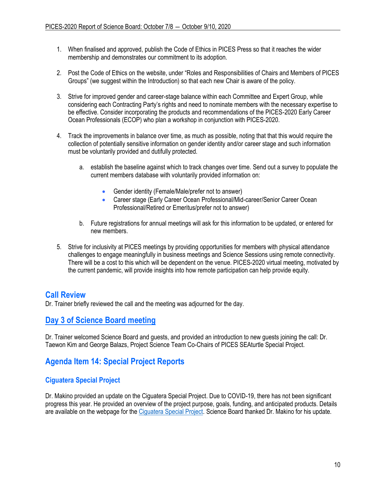- 1. When finalised and approved, publish the Code of Ethics in PICES Press so that it reaches the wider membership and demonstrates our commitment to its adoption.
- 2. Post the Code of Ethics on the website, under "Roles and Responsibilities of Chairs and Members of PICES Groups" (we suggest within the Introduction) so that each new Chair is aware of the policy.
- 3. Strive for improved gender and career-stage balance within each Committee and Expert Group, while considering each Contracting Party's rights and need to nominate members with the necessary expertise to be effective. Consider incorporating the products and recommendations of the PICES-2020 Early Career Ocean Professionals (ECOP) who plan a workshop in conjunction with PICES-2020.
- 4. Track the improvements in balance over time, as much as possible, noting that that this would require the collection of potentially sensitive information on gender identity and/or career stage and such information must be voluntarily provided and dutifully protected.
	- a. establish the baseline against which to track changes over time. Send out a survey to populate the current members database with voluntarily provided information on:
		- Gender identity (Female/Male/prefer not to answer)
		- Career stage (Early Career Ocean Professional/Mid-career/Senior Career Ocean Professional/Retired or Emeritus/prefer not to answer)
	- b. Future registrations for annual meetings will ask for this information to be updated, or entered for new members.
- 5. Strive for inclusivity at PICES meetings by providing opportunities for members with physical attendance challenges to engage meaningfully in business meetings and Science Sessions using remote connectivity. There will be a cost to this which will be dependent on the venue. PICES-2020 virtual meeting, motivated by the current pandemic, will provide insights into how remote participation can help provide equity.

## **Call Review**

Dr. Trainer briefly reviewed the call and the meeting was adjourned for the day.

# **Day 3 of Science Board meeting**

Dr. Trainer welcomed Science Board and guests, and provided an introduction to new guests joining the call: Dr. Taewon Kim and George Balazs, Project Science Team Co-Chairs of PICES SEAturtle Special Project.

# **Agenda Item 14: Special Project Reports**

## **Ciguatera Special Project**

Dr. Makino provided an update on the Ciguatera Special Project. Due to COVID-19, there has not been significant progress this year. He provided an overview of the project purpose, goals, funding, and anticipated products. Details are available on the webpage for the [Ciguatera Special Project.](https://meetings.pices.int/projects/Ciguatera) Science Board thanked Dr. Makino for his update.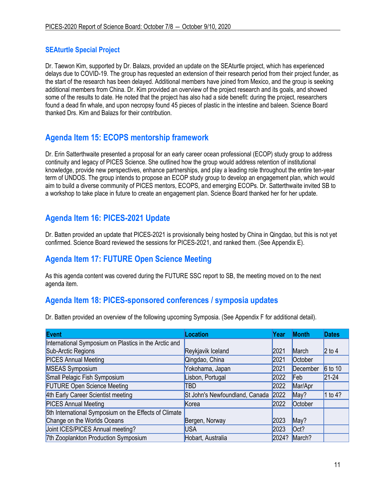## **SEAturtle Special Project**

Dr. Taewon Kim, supported by Dr. Balazs, provided an update on the SEAturtle project, which has experienced delays due to COVID-19. The group has requested an extension of their research period from their project funder, as the start of the research has been delayed. Additional members have joined from Mexico, and the group is seeking additional members from China. Dr. Kim provided an overview of the project research and its goals, and showed some of the results to date. He noted that the project has also had a side benefit: during the project, researchers found a dead fin whale, and upon necropsy found 45 pieces of plastic in the intestine and baleen. Science Board thanked Drs. Kim and Balazs for their contribution.

# **Agenda Item 15: ECOPS mentorship framework**

Dr. Erin Satterthwaite presented a proposal for an early career ocean professional (ECOP) study group to address continuity and legacy of PICES Science. She outlined how the group would address retention of institutional knowledge, provide new perspectives, enhance partnerships, and play a leading role throughout the entire ten-year term of UNDOS. The group intends to propose an ECOP study group to develop an engagement plan, which would aim to build a diverse community of PICES mentors, ECOPS, and emerging ECOPs. Dr. Satterthwaite invited SB to a workshop to take place in future to create an engagement plan. Science Board thanked her for her update.

# **Agenda Item 16: PICES-2021 Update**

Dr. Batten provided an update that PICES-2021 is provisionally being hosted by China in Qingdao, but this is not yet confirmed. Science Board reviewed the sessions for PICES-2021, and ranked them. (See Appendix E).

# **Agenda Item 17: FUTURE Open Science Meeting**

As this agenda content was covered during the FUTURE SSC report to SB, the meeting moved on to the next agenda item.

# **Agenda Item 18: PICES-sponsored conferences / symposia updates**

Dr. Batten provided an overview of the following upcoming Symposia. (See Appendix F for additional detail).

| <b>Event</b>                                          | Location                       | Year  | <b>Month</b> | <b>Dates</b> |
|-------------------------------------------------------|--------------------------------|-------|--------------|--------------|
| International Symposium on Plastics in the Arctic and |                                |       |              |              |
| Sub-Arctic Regions                                    | Reykjavik Iceland              | 2021  | March        | $2$ to 4     |
| <b>PICES Annual Meeting</b>                           | Qingdao, China                 | 2021  | October      |              |
| <b>MSEAS Symposium</b>                                | Yokohama, Japan                | 2021  | December     | $6$ to 10    |
| Small Pelagic Fish Symposium                          | Lisbon, Portugal               | 2022  | Feb          | $21 - 24$    |
| <b>FUTURE Open Science Meeting</b>                    | TBD                            | 2022  | Mar/Apr      |              |
| 4th Early Career Scientist meeting                    | St John's Newfoundland, Canada | 2022  | May?         | 1 to 4?      |
| <b>PICES Annual Meeting</b>                           | Korea                          | 2022  | October      |              |
| 5th International Symposium on the Effects of Climate |                                |       |              |              |
| Change on the Worlds Oceans                           | Bergen, Norway                 | 2023  | May?         |              |
| Joint ICES/PICES Annual meeting?                      | <b>USA</b>                     | 2023  | Oct?         |              |
| 7th Zooplankton Production Symposium                  | Hobart, Australia              | 2024? | March?       |              |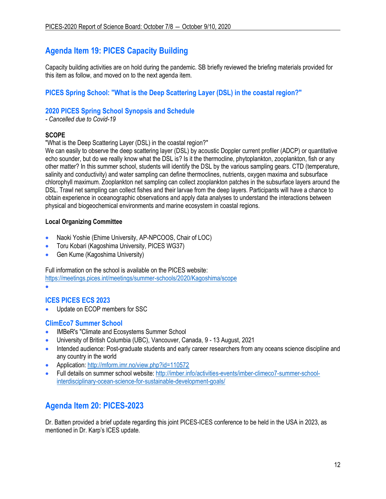# **Agenda Item 19: PICES Capacity Building**

Capacity building activities are on hold during the pandemic. SB briefly reviewed the briefing materials provided for this item as follow, and moved on to the next agenda item.

## **PICES Spring School: "What is the Deep Scattering Layer (DSL) in the coastal region?"**

## **2020 PICES Spring School Synopsis and Schedule**

*- Cancelled due to Covid-19*

### **SCOPE**

"What is the Deep Scattering Layer (DSL) in the coastal region?"

We can easily to observe the deep scattering layer (DSL) by acoustic Doppler current profiler (ADCP) or quantitative echo sounder, but do we really know what the DSL is? Is it the thermocline, phytoplankton, zooplankton, fish or any other matter? In this summer school, students will identify the DSL by the various sampling gears. CTD (temperature, salinity and conductivity) and water sampling can define thermoclines, nutrients, oxygen maxima and subsurface chlorophyll maximum. Zooplankton net sampling can collect zooplankton patches in the subsurface layers around the DSL. Trawl net sampling can collect fishes and their larvae from the deep layers. Participants will have a chance to obtain experience in oceanographic observations and apply data analyses to understand the interactions between physical and biogeochemical environments and marine ecosystem in coastal regions.

## **Local Organizing Committee**

- Naoki Yoshie (Ehime University, AP-NPCOOS, Chair of LOC)
- Toru Kobari (Kagoshima University, PICES WG37)
- Gen Kume (Kagoshima University)

Full information on the school is available on the PICES website:

<https://meetings.pices.int/meetings/summer-schools/2020/Kagoshima/scope>

•

## **ICES PICES ECS 2023**

• Update on ECOP members for SSC

### **ClimEco7 Summer School**

- IMBeR's "Climate and Ecosystems Summer School
- University of British Columbia (UBC), Vancouver, Canada, 9 13 August, 2021
- Intended audience: Post-graduate students and early career researchers from any oceans science discipline and any country in the world
- Application:<http://mform.imr.no/view.php?id=110572>
- Full details on summer school website: [http://imber.info/activities-events/imber-climeco7-summer-school](http://imber.info/activities-events/imber-climeco7-summer-school-interdisciplinary-ocean-science-for-sustainable-development-goals/)[interdisciplinary-ocean-science-for-sustainable-development-goals/](http://imber.info/activities-events/imber-climeco7-summer-school-interdisciplinary-ocean-science-for-sustainable-development-goals/)

# **Agenda Item 20: PICES-2023**

Dr. Batten provided a brief update regarding this joint PICES-ICES conference to be held in the USA in 2023, as mentioned in Dr. Karp's ICES update.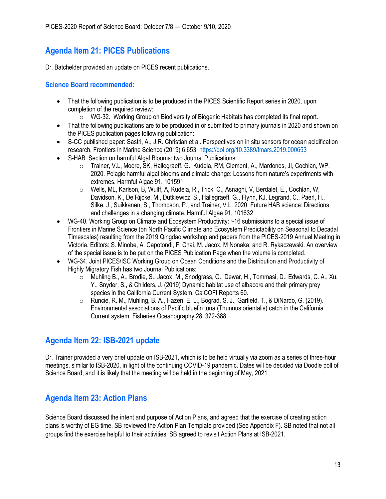# **Agenda Item 21: PICES Publications**

Dr. Batchelder provided an update on PICES recent publications.

### **Science Board recommended:**

- That the following publication is to be produced in the PICES Scientific Report series in 2020, upon completion of the required review:
	- o WG-32. Working Group on Biodiversity of Biogenic Habitats has completed its final report.
- That the following publications are to be produced in or submitted to primary journals in 2020 and shown on the PICES publication pages following publication:
- S-CC published paper: Sastri, A., J.R. Christian et al. Perspectives on in situ sensors for ocean acidification research, Frontiers in Marine Science (2019) 6:653.<https://doi.org/10.3389/fmars.2019.000653>
- S-HAB. Section on harmful Algal Blooms: two Journal Publications:
	- o Trainer, V.L, Moore, SK, Hallegraeff, G., Kudela, RM, Clement, A., Mardones, JI, Cochlan, WP. 2020. Pelagic harmful algal blooms and climate change: Lessons from nature's experiments with extremes. Harmful Algae 91, 101591
	- o Wells, ML, Karlson, B, Wulff, A, Kudela, R., Trick, C., Asnaghi, V, Berdalet, E., Cochlan, W, Davidson, K., De Rijcke, M., Dutkiewicz, S., Hallegraeff, G., Flynn, KJ, Legrand, C., Paerl, H., Silke, J., Suikkanen, S., Thompson, P., and Trainer, V.L. 2020. Future HAB science: Directions and challenges in a changing climate. Harmful Algae 91, 101632
- WG-40. Working Group on Climate and Ecosystem Productivity: ~16 submissions to a special issue of Frontiers in Marine Science (on North Pacific Climate and Ecosystem Predictability on Seasonal to Decadal Timescales) resulting from the 2019 Qingdao workshop and papers from the PICES-2019 Annual Meeting in Victoria. Editors: S. Minobe, A. Capotondi, F. Chai, M. Jacox, M Nonaka, and R. Rykaczewski. An overview of the special issue is to be put on the PICES Publication Page when the volume is completed.
- WG-34. Joint PICES/ISC Working Group on Ocean Conditions and the Distribution and Productivity of Highly Migratory Fish has two Journal Publications:
	- o Muhling B., A., Brodie, S., Jacox, M., Snodgrass, O., Dewar, H., Tommasi, D., Edwards, C. A., Xu, Y., Snyder, S., & Childers, J. (2019) Dynamic habitat use of albacore and their primary prey species in the California Current System. CalCOFI Reports 60.
	- o Runcie, R. M., Muhling, B. A., Hazen, E. L., Bograd, S. J., Garfield, T., & DiNardo, G. (2019). Environmental associations of Pacific bluefin tuna (Thunnus orientalis) catch in the California Current system. Fisheries Oceanography 28: 372-388

# **Agenda Item 22: ISB-2021 update**

Dr. Trainer provided a very brief update on ISB-2021, which is to be held virtually via zoom as a series of three-hour meetings, similar to ISB-2020, in light of the continuing COVID-19 pandemic. Dates will be decided via Doodle poll of Science Board, and it is likely that the meeting will be held in the beginning of May, 2021

# **Agenda Item 23: Action Plans**

Science Board discussed the intent and purpose of Action Plans, and agreed that the exercise of creating action plans is worthy of EG time. SB reviewed the Action Plan Template provided (See Appendix F). SB noted that not all groups find the exercise helpful to their activities. SB agreed to revisit Action Plans at ISB-2021.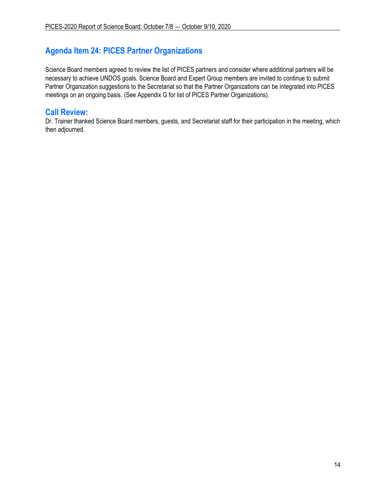# **Agenda Item 24: PICES Partner Organizations**

Science Board members agreed to review the list of PICES partners and consider where additional partners will be necessary to achieve UNDOS goals. Science Board and Expert Group members are invited to continue to submit Partner Organization suggestions to the Secretariat so that the Partner Organizations can be integrated into PICES meetings on an ongoing basis. (See Appendix G for list of PICES Partner Organizations).

# **Call Review:**

Dr. Trainer thanked Science Board members, guests, and Secretariat staff for their participation in the meeting, which then adjourned.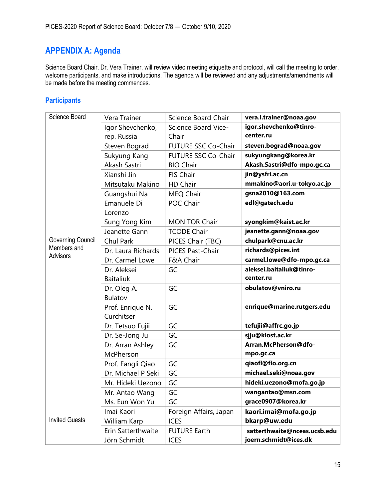# **APPENDIX A: Agenda**

Science Board Chair, Dr. Vera Trainer, will review video meeting etiquette and protocol, will call the meeting to order, welcome participants, and make introductions. The agenda will be reviewed and any adjustments/amendments will be made before the meeting commences.

## **Participants**

| Science Board                  | Vera Trainer                    | Science Board Chair          | vera.l.trainer@noaa.gov             |
|--------------------------------|---------------------------------|------------------------------|-------------------------------------|
|                                | Igor Shevchenko,<br>rep. Russia | Science Board Vice-<br>Chair | igor.shevchenko@tinro-<br>center.ru |
|                                | Steven Bograd                   | FUTURE SSC Co-Chair          | steven.bograd@noaa.gov              |
|                                | Sukyung Kang                    | FUTURE SSC Co-Chair          | sukyungkang@korea.kr                |
|                                | Akash Sastri                    | <b>BIO Chair</b>             | Akash.Sastri@dfo-mpo.gc.ca          |
|                                | Xianshi Jin                     | FIS Chair                    | jin@ysfri.ac.cn                     |
|                                | Mitsutaku Makino                | HD Chair                     | mmakino@aori.u-tokyo.ac.jp          |
|                                | Guangshui Na                    | MEQ Chair                    | gsna2010@163.com                    |
|                                | Emanuele Di<br>Lorenzo          | POC Chair                    | edl@gatech.edu                      |
|                                | Sung Yong Kim                   | <b>MONITOR Chair</b>         | syongkim@kaist.ac.kr                |
|                                | Jeanette Gann                   | <b>TCODE Chair</b>           | jeanette.gann@noaa.gov              |
| <b>Governing Council</b>       | Chul Park                       | PICES Chair (TBC)            | chulpark@cnu.ac.kr                  |
| Members and<br><b>Advisors</b> | Dr. Laura Richards              | PICES Past-Chair             | richards@pices.int                  |
|                                | Dr. Carmel Lowe                 | F&A Chair                    | carmel.lowe@dfo-mpo.gc.ca           |
|                                | Dr. Aleksei                     | GC                           | aleksei.baitaliuk@tinro-            |
|                                | <b>Baitaliuk</b>                |                              | center.ru                           |
|                                | Dr. Oleg A.<br>Bulatov          | GC                           | obulatov@vniro.ru                   |
|                                | Prof. Enrique N.<br>Curchitser  | GC                           | enrique@marine.rutgers.edu          |
|                                | Dr. Tetsuo Fujii                | GC                           | tefujii@affrc.go.jp                 |
|                                | Dr. Se-Jong Ju                  | GC                           | sjju@kiost.ac.kr                    |
|                                | Dr. Arran Ashley                | GC                           | Arran.McPherson@dfo-                |
|                                | McPherson                       |                              | mpo.gc.ca                           |
|                                | Prof. Fangli Qiao               | GC                           | qiaofl@fio.org.cn                   |
|                                | Dr. Michael P Seki              | GC                           | michael.seki@noaa.gov               |
|                                | Mr. Hideki Uezono               | GC                           | hideki.uezono@mofa.go.jp            |
|                                | Mr. Antao Wang                  | GC                           | wangantao@msn.com                   |
|                                | Ms. Eun Won Yu                  | GC                           | grace0907@korea.kr                  |
|                                | Imai Kaori                      | Foreign Affairs, Japan       | kaori.imai@mofa.go.jp               |
| <b>Invited Guests</b>          | William Karp                    | <b>ICES</b>                  | bkarp@uw.edu                        |
|                                | Erin Satterthwaite              | <b>FUTURE Earth</b>          | satterthwaite@nceas.ucsb.edu        |
|                                | Jörn Schmidt                    | <b>ICES</b>                  | joern.schmidt@ices.dk               |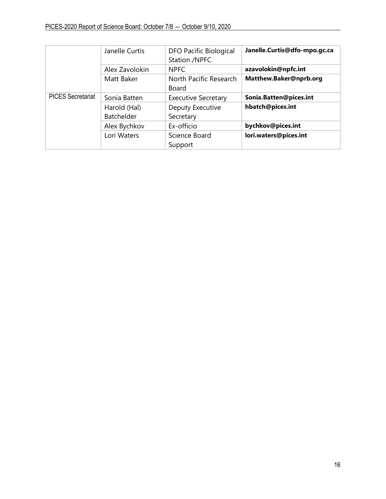|                          | Janelle Curtis | <b>DFO Pacific Biological</b><br>Station /NPFC | Janelle.Curtis@dfo-mpo.gc.ca |
|--------------------------|----------------|------------------------------------------------|------------------------------|
|                          | Alex Zavolokin | <b>NPFC</b>                                    | azavolokin@npfc.int          |
|                          | Matt Baker     | North Pacific Research                         | Matthew.Baker@nprb.org       |
|                          |                | Board                                          |                              |
| <b>PICES Secretariat</b> | Sonia Batten   | <b>Executive Secretary</b>                     | Sonia.Batten@pices.int       |
|                          | Harold (Hal)   | Deputy Executive                               | hbatch@pices.int             |
|                          | Batchelder     | Secretary                                      |                              |
|                          | Alex Bychkov   | Ex-officio                                     | bychkov@pices.int            |
|                          | Lori Waters    | Science Board                                  | lori.waters@pices.int        |
|                          |                | Support                                        |                              |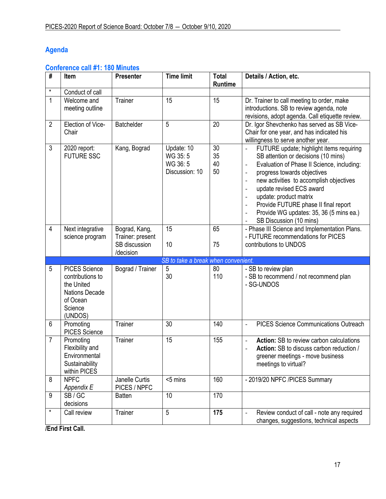# **Agenda**

# **Conference call #1: 180 Minutes**

| #              | Item                                                                                                              | <b>Presenter</b>                                                | <b>Time limit</b>                                  | <b>Total</b><br><b>Runtime</b> | Details / Action, etc.                                                                                                                                                                                                                                                                                                                                                                                                                                                                                                                                                                                                          |
|----------------|-------------------------------------------------------------------------------------------------------------------|-----------------------------------------------------------------|----------------------------------------------------|--------------------------------|---------------------------------------------------------------------------------------------------------------------------------------------------------------------------------------------------------------------------------------------------------------------------------------------------------------------------------------------------------------------------------------------------------------------------------------------------------------------------------------------------------------------------------------------------------------------------------------------------------------------------------|
| $\star$        | Conduct of call                                                                                                   |                                                                 |                                                    |                                |                                                                                                                                                                                                                                                                                                                                                                                                                                                                                                                                                                                                                                 |
| $\mathbf{1}$   | Welcome and<br>meeting outline                                                                                    | Trainer                                                         | 15                                                 | 15                             | Dr. Trainer to call meeting to order, make<br>introductions. SB to review agenda, note<br>revisions, adopt agenda. Call etiquette review.                                                                                                                                                                                                                                                                                                                                                                                                                                                                                       |
| $\overline{2}$ | Election of Vice-<br>Chair                                                                                        | Batchelder                                                      | 5                                                  | 20                             | Dr. Igor Shevchenko has served as SB Vice-<br>Chair for one year, and has indicated his<br>willingness to serve another year.                                                                                                                                                                                                                                                                                                                                                                                                                                                                                                   |
| $\mathfrak{Z}$ | 2020 report:<br><b>FUTURE SSC</b>                                                                                 | Kang, Bograd                                                    | Update: 10<br>WG 35:5<br>WG 36:5<br>Discussion: 10 | 30<br>35<br>40<br>50           | FUTURE update; highlight items requiring<br>$\qquad \qquad \blacksquare$<br>SB attention or decisions (10 mins)<br>Evaluation of Phase II Science, including:<br>$\qquad \qquad \blacksquare$<br>progress towards objectives<br>$\overline{\phantom{a}}$<br>new activities to accomplish objectives<br>$\overline{\phantom{a}}$<br>update revised ECS award<br>$\qquad \qquad \blacksquare$<br>update: product matrix<br>$\overline{\phantom{a}}$<br>Provide FUTURE phase II final report<br>$\qquad \qquad \blacksquare$<br>Provide WG updates: 35, 36 (5 mins ea.)<br>$\qquad \qquad \blacksquare$<br>SB Discussion (10 mins) |
| $\overline{4}$ | Next integrative<br>science program                                                                               | Bograd, Kang,<br>Trainer: present<br>SB discussion<br>/decision | $\overline{15}$<br>10                              | 65<br>75                       | - Phase III Science and Implementation Plans.<br>- FUTURE recommendations for PICES<br>contributions to UNDOS                                                                                                                                                                                                                                                                                                                                                                                                                                                                                                                   |
|                |                                                                                                                   |                                                                 | SB to take a break when convenient.                |                                |                                                                                                                                                                                                                                                                                                                                                                                                                                                                                                                                                                                                                                 |
| 5              | <b>PICES Science</b><br>contributions to<br>the United<br><b>Nations Decade</b><br>of Ocean<br>Science<br>(UNDOS) | Bograd / Trainer                                                | 5<br>30                                            | 80<br>110                      | - SB to review plan<br>- SB to recommend / not recommend plan<br>- SG-UNDOS                                                                                                                                                                                                                                                                                                                                                                                                                                                                                                                                                     |
| 6              | Promoting<br><b>PICES Science</b>                                                                                 | Trainer                                                         | 30                                                 | 140                            | <b>PICES Science Communications Outreach</b><br>$\blacksquare$                                                                                                                                                                                                                                                                                                                                                                                                                                                                                                                                                                  |
| 7              | Promoting<br>Flexibility and<br>Environmental<br>Sustainability<br>within PICES                                   | Trainer                                                         | 15                                                 | 155                            | <b>Action:</b> SB to review carbon calculations<br>$\overline{\phantom{m}}$<br>Action: SB to discuss carbon reduction /<br>$\overline{\phantom{0}}$<br>greener meetings - move business<br>meetings to virtual?                                                                                                                                                                                                                                                                                                                                                                                                                 |
| 8              | <b>NPFC</b><br>Appendix E                                                                                         | Janelle Curtis<br>PICES / NPFC                                  | <5 mins                                            | 160                            | - 2019/20 NPFC /PICES Summary                                                                                                                                                                                                                                                                                                                                                                                                                                                                                                                                                                                                   |
| 9              | SB/GC<br>decisions                                                                                                | <b>Batten</b>                                                   | 10                                                 | 170                            |                                                                                                                                                                                                                                                                                                                                                                                                                                                                                                                                                                                                                                 |
| $\star$        | Call review                                                                                                       | Trainer                                                         | 5                                                  | 175                            | Review conduct of call - note any required<br>$\overline{\phantom{0}}$<br>changes, suggestions, technical aspects                                                                                                                                                                                                                                                                                                                                                                                                                                                                                                               |

**/End First Call.**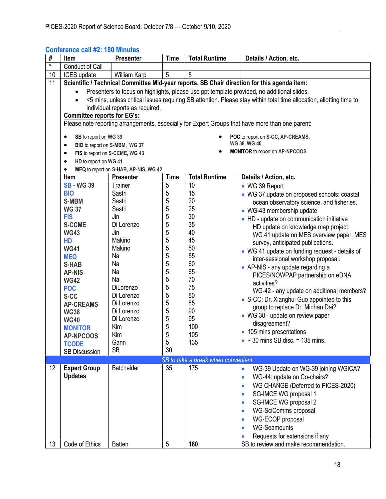| #               | <b>Item</b>                                                                                 | <b>Presenter</b>                      | <b>Time</b> | <b>Total Runtime</b>                | Details / Action, etc.                                                                                              |
|-----------------|---------------------------------------------------------------------------------------------|---------------------------------------|-------------|-------------------------------------|---------------------------------------------------------------------------------------------------------------------|
| $\star$         | <b>Conduct of Call</b>                                                                      |                                       |             |                                     |                                                                                                                     |
| 10              | <b>ICES</b> update                                                                          | <b>William Karp</b>                   | 5           | 5                                   |                                                                                                                     |
| 11              | Scientific / Technical Committee Mid-year reports. SB Chair direction for this agenda item: |                                       |             |                                     |                                                                                                                     |
|                 | Presenters to focus on highlights, please use ppt template provided, no additional slides.  |                                       |             |                                     |                                                                                                                     |
|                 | $\bullet$                                                                                   |                                       |             |                                     | <5 mins, unless critical issues requiring SB attention. Please stay within total time allocation, allotting time to |
|                 |                                                                                             | individual reports as required.       |             |                                     |                                                                                                                     |
|                 | <b>Committee reports for EG's:</b>                                                          |                                       |             |                                     |                                                                                                                     |
|                 |                                                                                             |                                       |             |                                     | Please note reporting arrangements, especially for Expert Groups that have more than one parent:                    |
|                 | SB to report on WG 39<br>$\bullet$                                                          |                                       |             |                                     | POC to report on S-CC, AP-CREAMS,                                                                                   |
|                 | BIO to report on S-MBM, WG 37<br>$\bullet$                                                  |                                       |             |                                     | WG 38, WG 40                                                                                                        |
|                 | FIS to report on S-CCME, WG 43<br>$\bullet$                                                 |                                       |             |                                     | MONITOR to report on AP-NPCOOS                                                                                      |
|                 | HD to report on WG 41<br>$\bullet$                                                          |                                       |             |                                     |                                                                                                                     |
|                 | $\bullet$                                                                                   | MEQ to report on S-HAB, AP-NIS, WG 42 |             |                                     |                                                                                                                     |
|                 | Item                                                                                        | <b>Presenter</b>                      | <b>Time</b> | <b>Total Runtime</b>                | Details / Action, etc.                                                                                              |
|                 | <b>SB - WG 39</b>                                                                           | Trainer                               | 5           | 10                                  | • WG 39 Report                                                                                                      |
|                 | <b>BIO</b>                                                                                  | Sastri                                | 5           | 15                                  | • WG 37 update on proposed schools: coastal                                                                         |
|                 | <b>S-MBM</b>                                                                                | Sastri                                | 5           | 20                                  | ocean observatory science, and fisheries.                                                                           |
|                 | <b>WG 37</b>                                                                                | Sastri                                | 5           | 25                                  | • WG-43 membership update                                                                                           |
|                 | <b>FIS</b>                                                                                  | Jin                                   | 5           | 30                                  | • HD - update on communication initiative                                                                           |
|                 | <b>S-CCME</b>                                                                               | Di Lorenzo                            | 5           | 35                                  | HD update on knowledge map project                                                                                  |
|                 | <b>WG43</b>                                                                                 | Jin                                   | 5           | 40                                  | WG 41 update on MES overview paper, MES                                                                             |
|                 | HD                                                                                          | Makino                                | 5           | 45                                  | survey, anticipated publications.                                                                                   |
|                 | <b>WG41</b>                                                                                 | Makino                                | 5           | 50                                  | • WG 41 update on funding request - details of                                                                      |
|                 | <b>MEQ</b>                                                                                  | Na                                    | 5           | 55                                  | inter-sessional workshop proposal.                                                                                  |
|                 | <b>S-HAB</b>                                                                                | Na                                    | 5           | 60                                  | • AP-NIS - any update regarding a                                                                                   |
|                 | <b>AP-NIS</b>                                                                               | Na                                    | 5           | 65                                  | PICES/NOWPAP partnership on eDNA                                                                                    |
|                 | <b>WG42</b>                                                                                 | Na                                    | 5           | 70                                  | activities?                                                                                                         |
|                 | <b>POC</b>                                                                                  | DiLorenzo                             | 5           | 75                                  | WG-42 - any update on additional members?                                                                           |
|                 | S-CC                                                                                        | Di Lorenzo                            | 5           | 80                                  | • S-CC: Dr. Xianghui Guo appointed to this                                                                          |
|                 | <b>AP-CREAMS</b>                                                                            | Di Lorenzo                            | 5           | 85                                  | group to replace Dr. Minhan Dai?                                                                                    |
|                 | <b>WG38</b>                                                                                 | Di Lorenzo                            | 5           | 90                                  | • WG 38 - update on review paper                                                                                    |
|                 | <b>WG40</b>                                                                                 | Di Lorenzo                            | 5           | 95                                  | disagreement?                                                                                                       |
|                 | <b>MONITOR</b>                                                                              | Kim                                   | 5           | 100                                 | • 105 mins presentations                                                                                            |
|                 | <b>AP-NPCOOS</b>                                                                            | Kim                                   | 5           | 105                                 | $\bullet$ + 30 mins SB disc. = 135 mins.                                                                            |
|                 | <b>TCODE</b>                                                                                | Gann                                  | 5           | 135                                 |                                                                                                                     |
|                 | <b>SB Discussion</b>                                                                        | <b>SB</b>                             | 30          |                                     |                                                                                                                     |
|                 |                                                                                             |                                       |             | SB to take a break when convenient. |                                                                                                                     |
| 12 <sup>°</sup> | <b>Expert Group</b>                                                                         | Batchelder                            | 35          | 175                                 | WG-39 Update on WG-39 joining WGICA?<br>$\bullet$                                                                   |
|                 | <b>Updates</b>                                                                              |                                       |             |                                     | WG-44: update on Co-chairs?<br>$\bullet$                                                                            |
|                 |                                                                                             |                                       |             |                                     | WG CHANGE (Deferred to PICES-2020)<br>$\bullet$                                                                     |
|                 |                                                                                             |                                       |             |                                     | SG-IMCE WG proposal 1<br>$\bullet$                                                                                  |
|                 |                                                                                             |                                       |             |                                     | SG-IMCE WG proposal 2<br>$\bullet$                                                                                  |
|                 |                                                                                             |                                       |             |                                     | WG-SciComms proposal<br>$\bullet$                                                                                   |
|                 |                                                                                             |                                       |             |                                     | WG-ECOP proposal<br>$\bullet$                                                                                       |
|                 |                                                                                             |                                       |             |                                     | <b>WG-Seamounts</b>                                                                                                 |
|                 |                                                                                             |                                       |             |                                     | Requests for extensions if any                                                                                      |
| 13              | Code of Ethics                                                                              | <b>Batten</b>                         | 5           | 180                                 | SB to review and make recommendation.                                                                               |

## **Conference call #2: 180 Minutes**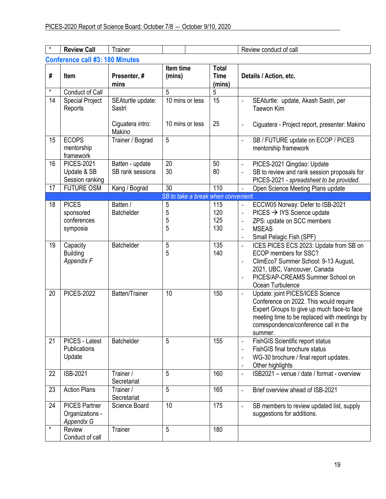| $\star$ | <b>Review Call</b>                                    | Trainer                                                   |                                     |                                       | Review conduct of call                                                                                                                                                                                                                                                       |  |
|---------|-------------------------------------------------------|-----------------------------------------------------------|-------------------------------------|---------------------------------------|------------------------------------------------------------------------------------------------------------------------------------------------------------------------------------------------------------------------------------------------------------------------------|--|
|         | <b>Conference call #3: 180 Minutes</b>                |                                                           |                                     |                                       |                                                                                                                                                                                                                                                                              |  |
| #       | Item                                                  | Presenter, #<br>mins                                      | Item time<br>(mins)                 | <b>Total</b><br><b>Time</b><br>(mins) | Details / Action, etc.                                                                                                                                                                                                                                                       |  |
| $\star$ | Conduct of Call                                       |                                                           | 5                                   | 5                                     |                                                                                                                                                                                                                                                                              |  |
| 14      | <b>Special Project</b><br>Reports                     | SEAturtle update:<br>Sastri<br>Ciguatera intro:<br>Makino | 10 mins or less<br>10 mins or less  | 15<br>25                              | SEAturtle: update, Akash Sastri, per<br><b>Taewon Kim</b><br>Ciguatera - Project report, presenter: Makino<br>$\qquad \qquad \blacksquare$                                                                                                                                   |  |
| 15      | <b>ECOPS</b><br>mentorship<br>framework               | Trainer / Bograd                                          | 5                                   |                                       | SB / FUTURE update on ECOP / PICES<br>$\blacksquare$<br>mentorship framework                                                                                                                                                                                                 |  |
| 16      | <b>PICES-2021</b><br>Update & SB<br>Session ranking   | Batten - update<br>SB rank sessions                       | 20<br>30                            | 50<br>80                              | PICES-2021 Qingdao: Update<br>$\blacksquare$<br>SB to review and rank session proposals for<br>PICES-2021 - spreadsheet to be provided.                                                                                                                                      |  |
| 17      | <b>FUTURE OSM</b>                                     | Kang / Bograd                                             | 30                                  | 110                                   | Open Science Meeting Plans update                                                                                                                                                                                                                                            |  |
|         |                                                       |                                                           | SB to take a break when convenient. |                                       |                                                                                                                                                                                                                                                                              |  |
| 18      | <b>PICES</b><br>sponsored<br>conferences<br>symposia  | Batten /<br><b>Batchelder</b>                             | 5<br>5<br>5<br>5                    | 115<br>120<br>125<br>130              | ECCW05 Norway: Defer to ISB-2021<br>$\blacksquare$<br>$PICES \rightarrow IYS Science update$<br>$\blacksquare$<br>ZPS: update on SCC members<br>$\overline{\phantom{a}}$<br><b>MSEAS</b><br>$\overline{\phantom{a}}$<br>Small Pelagic Fish (SPF)<br>$\overline{\phantom{a}}$ |  |
| 19      | Capacity<br><b>Building</b><br>Appendix F             | Batchelder                                                | 5<br>5                              | 135<br>140                            | ICES PICES ECS 2023: Update from SB on<br>ECOP members for SSC?<br>ClimEco7 Summer School: 9-13 August,<br>$\overline{\phantom{a}}$<br>2021, UBC, Vancouver, Canada<br>PICES/AP-CREAMS Summer School on<br>$\overline{\phantom{a}}$<br>Ocean Turbulence                      |  |
| 20      | <b>PICES-2022</b>                                     | Batten/Trainer                                            | 10                                  | 150                                   | Update: joint PICES/ICES Science<br>$\blacksquare$<br>Conference on 2022. This would require<br>Expert Groups to give up much face-to face<br>meeting time to be replaced with meetings by<br>correspondence/conference call in the<br>summer.                               |  |
| 21      | PICES - Latest<br>Publications<br>Update              | Batchelder                                                | 5                                   | 155                                   | <b>FishGIS Scientific report status</b><br>$\overline{\phantom{a}}$<br>FishGIS final brochure status<br>$\overline{\phantom{a}}$<br>WG-30 brochure / final report updates.<br>$\overline{\phantom{a}}$<br>Other highlights<br>$\overline{\phantom{a}}$                       |  |
| 22      | ISB-2021                                              | Trainer /<br>Secretariat                                  | 5                                   | 160                                   | ISB2021 - venue / date / format - overview<br>$\overline{\phantom{a}}$                                                                                                                                                                                                       |  |
| 23      | <b>Action Plans</b>                                   | Trainer /<br>Secretariat                                  | 5                                   | 165                                   | Brief overview ahead of ISB-2021<br>$\blacksquare$                                                                                                                                                                                                                           |  |
| 24      | <b>PICES Partner</b><br>Organizations -<br>Appendix G | Science Board                                             | 10                                  | 175                                   | SB members to review updated list, supply<br>$\overline{\phantom{a}}$<br>suggestions for additions.                                                                                                                                                                          |  |
| $\star$ | Review<br>Conduct of call                             | Trainer                                                   | 5                                   | 180                                   |                                                                                                                                                                                                                                                                              |  |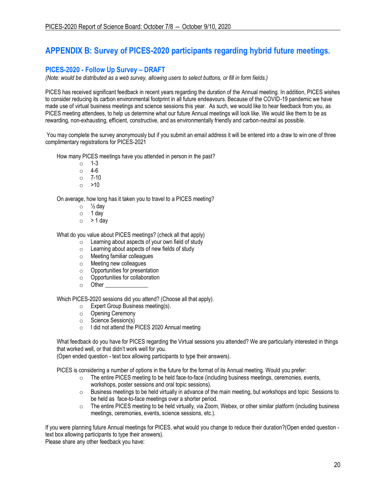# **APPENDIX B: Survey of PICES-2020 participants regarding hybrid future meetings.**

## **PICES-2020 - Follow Up Survey – DRAFT**

*(Note: would be distributed as a web survey, allowing users to select buttons, or fill in form fields.)*

PICES has received significant feedback in recent years regarding the duration of the Annual meeting. In addition, PICES wishes to consider reducing its carbon environmental footprint in all future endeavours. Because of the COVID-19 pandemic we have made use of virtual business meetings and science sessions this year. As such, we would like to hear feedback from you, as PICES meeting attendees, to help us determine what our future Annual meetings will look like. We would like them to be as rewarding, non-exhausting, efficient, constructive, and as environmentally friendly and carbon-neutral as possible.

You may complete the survey anonymously but if you submit an email address it will be entered into a draw to win one of three complimentary registrations for PICES-2021

How many PICES meetings have you attended in person in the past?

- o 1-3
- o 4-6
- o 7-10
- $\circ$  >10

On average, how long has it taken you to travel to a PICES meeting?

- $\circ$  /<sub>2</sub> day
- o 1 day
- $\circ$  > 1 day

What do you value about PICES meetings? (check all that apply)

- o Learning about aspects of your own field of study
- o Learning about aspects of new fields of study
- o Meeting familiar colleagues
- o Meeting new colleagues
- o Opportunities for presentation
- o Opportunities for collaboration
- $\circ$  Other

Which PICES-2020 sessions did you attend? (Choose all that apply).

- o Expert Group Business meeting(s).
- o Opening Ceremony
- o Science Session(s)
- o I did not attend the PICES 2020 Annual meeting

What feedback do you have for PICES regarding the Virtual sessions you attended? We are particularly interested in things that worked well, or that didn't work well for you.

(Open ended question - text box allowing participants to type their answers).

PICES is considering a number of options in the future for the format of its Annual meeting. Would you prefer:

- $\circ$  The entire PICES meeting to be held face-to-face (including business meetings, ceremonies, events, workshops, poster sessions and oral topic sessions).
- o Business meetings to be held virtually in advance of the main meeting, but workshops and topic Sessions to be held as face-to-face meetings over a shorter period.
- $\circ$  The entire PICES meeting to be held virtually, via Zoom, Webex, or other similar platform (including business meetings, ceremonies, events, science sessions, etc.).

If you were planning future Annual meetings for PICES, what would you change to reduce their duration?(Open ended question text box allowing participants to type their answers).

Please share any other feedback you have: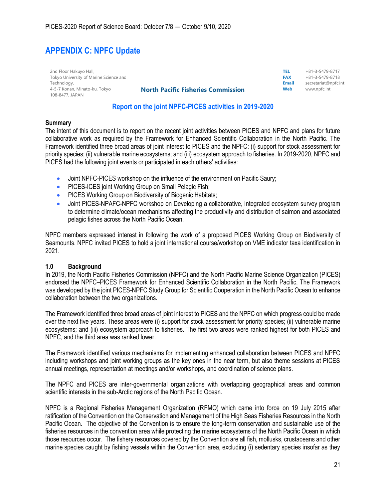# **APPENDIX C: NPFC Update**

| 2nd Floor Hakuyo Hall,                 |
|----------------------------------------|
| Tokyo University of Marine Science and |
| Technology,                            |
| 4-5-7 Konan, Minato-ku, Tokyo          |
| 108-8477, JAPAN                        |

| <b>North Pacific Fisheries Commission</b> | Web        | www.npfc.int            |
|-------------------------------------------|------------|-------------------------|
|                                           | Email      | secretariat@npfc.int    |
|                                           | <b>FAX</b> | +81-3-5479-8718         |
|                                           | TEL.       | $+81 - 3 - 5479 - 8717$ |

## **Report on the joint NPFC-PICES activities in 2019-2020**

#### **Summary**

The intent of this document is to report on the recent joint activities between PICES and NPFC and plans for future collaborative work as required by the Framework for Enhanced Scientific Collaboration in the North Pacific. The Framework identified three broad areas of joint interest to PICES and the NPFC: (i) support for stock assessment for priority species; (ii) vulnerable marine ecosystems; and (iii) ecosystem approach to fisheries. In 2019-2020, NPFC and PICES had the following joint events or participated in each others' activities:

- Joint NPFC-PICES workshop on the influence of the environment on Pacific Saury;
- PICES-ICES joint Working Group on Small Pelagic Fish;
- PICES Working Group on Biodiversity of Biogenic Habitats;
- Joint PICES-NPAFC-NPFC workshop on Developing a collaborative, integrated ecosystem survey program to determine climate/ocean mechanisms affecting the productivity and distribution of salmon and associated pelagic fishes across the North Pacific Ocean.

NPFC members expressed interest in following the work of a proposed PICES Working Group on Biodiversity of Seamounts. NPFC invited PICES to hold a joint international course/workshop on VME indicator taxa identification in 2021.

### **1.0 Background**

In 2019, the North Pacific Fisheries Commission (NPFC) and the North Pacific Marine Science Organization (PICES) endorsed the NPFC–PICES Framework for Enhanced Scientific Collaboration in the North Pacific. The Framework was developed by the joint PICES-NPFC Study Group for Scientific Cooperation in the North Pacific Ocean to enhance collaboration between the two organizations.

The Framework identified three broad areas of joint interest to PICES and the NPFC on which progress could be made over the next five years. These areas were (i) support for stock assessment for priority species; (ii) vulnerable marine ecosystems; and (iii) ecosystem approach to fisheries. The first two areas were ranked highest for both PICES and NPFC, and the third area was ranked lower.

The Framework identified various mechanisms for implementing enhanced collaboration between PICES and NPFC including workshops and joint working groups as the key ones in the near term, but also theme sessions at PICES annual meetings, representation at meetings and/or workshops, and coordination of science plans.

The NPFC and PICES are inter-governmental organizations with overlapping geographical areas and common scientific interests in the sub-Arctic regions of the North Pacific Ocean.

NPFC is a Regional Fisheries Management Organization (RFMO) which came into force on 19 July 2015 after ratification of the Convention on the Conservation and Management of the High Seas Fisheries Resources in the North Pacific Ocean. The objective of the Convention is to ensure the long-term conservation and sustainable use of the fisheries resources in the convention area while protecting the marine ecosystems of the North Pacific Ocean in which those resources occur. The fishery resources covered by the Convention are all fish, mollusks, crustaceans and other marine species caught by fishing vessels within the Convention area, excluding (i) sedentary species insofar as they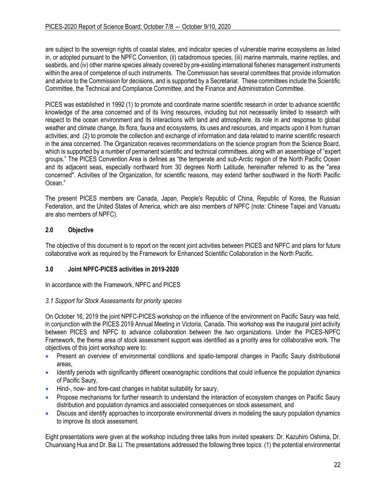are subject to the sovereign rights of coastal states, and indicator species of vulnerable marine ecosystems as listed in, or adopted pursuant to the NPFC Convention, (ii) catadromous species, (iii) marine mammals, marine reptiles, and seabirds, and (iv) other marine species already covered by pre-existing international fisheries management instruments within the area of competence of such instruments. The Commission has several committees that provide information and advice to the Commission for decisions, and is supported by a Secretariat. These committees include the Scientific Committee, the Technical and Compliance Committee, and the Finance and Administration Committee.

PICES was established in 1992 (1) to promote and coordinate marine scientific research in order to advance scientific knowledge of the area concerned and of its living resources, including but not necessarily limited to research with respect to the ocean environment and its interactions with land and atmosphere, its role in and response to global weather and climate change, its flora, fauna and ecosystems, its uses and resources, and impacts upon it from human activities; and (2) to promote the collection and exchange of information and data related to marine scientific research in the area concerned. The Organization receives recommendations on the science program from the Science Board, which is supported by a number of permanent scientific and technical committees, along with an assemblage of "expert groups." The PICES Convention Area is defines as "the temperate and sub-Arctic region of the North Pacific Ocean and its adjacent seas, especially northward from 30 degrees North Latitude, hereinafter referred to as the "area concerned". Activities of the Organization, for scientific reasons, may extend farther southward in the North Pacific Ocean."

The present PICES members are Canada, Japan, People's Republic of China, Republic of Korea, the Russian Federation, and the United States of America, which are also members of NPFC (note: Chinese Taipei and Vanuatu are also members of NPFC).

## **2.0 Objective**

The objective of this document is to report on the recent joint activities between PICES and NPFC and plans for future collaborative work as required by the Framework for Enhanced Scientific Collaboration in the North Pacific.

### **3.0 Joint NPFC-PICES activities in 2019-2020**

In accordance with the Framework, NPFC and PICES

### *3.1 Support for Stock Assessments for priority species*

On October 16, 2019 the joint NPFC-PICES workshop on the influence of the environment on Pacific Saury was held, in conjunction with the PICES 2019 Annual Meeting in Victoria, Canada. This workshop was the inaugural joint activity between PICES and NPFC to advance collaboration between the two organizations. Under the PICES-NPFC Framework, the theme area of stock assessment support was identified as a priority area for collaborative work. The objectives of this joint workshop were to:

- Present an overview of environmental conditions and spatio-temporal changes in Pacific Saury distributional areas,
- Identify periods with significantly different oceanographic conditions that could influence the population dynamics of Pacific Saury,
- Hind-, now- and fore-cast changes in habitat suitability for saury,
- Propose mechanisms for further research to understand the interaction of ecosystem changes on Pacific Saury distribution and population dynamics and associated consequences on stock assessment, and
- Discuss and identify approaches to incorporate environmental drivers in modeling the saury population dynamics to improve its stock assessment.

Eight presentations were given at the workshop including three talks from invited speakers: Dr. Kazuhiro Oshima, Dr. Chuanxiang Hua and Dr. Bai Li. The presentations addressed the following three topics: (1) the potential environmental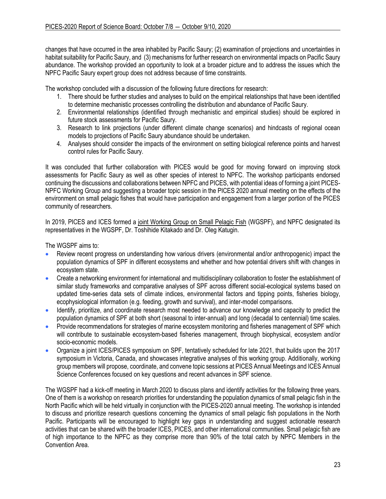changes that have occurred in the area inhabited by Pacific Saury; (2) examination of projections and uncertainties in habitat suitability for Pacific Saury, and (3) mechanisms for further research on environmental impacts on Pacific Saury abundance. The workshop provided an opportunity to look at a broader picture and to address the issues which the NPFC Pacific Saury expert group does not address because of time constraints.

The workshop concluded with a discussion of the following future directions for research:

- 1. There should be further studies and analyses to build on the empirical relationships that have been identified to determine mechanistic processes controlling the distribution and abundance of Pacific Saury.
- 2. Environmental relationships (identified through mechanistic and empirical studies) should be explored in future stock assessments for Pacific Saury.
- 3. Research to link projections (under different climate change scenarios) and hindcasts of regional ocean models to projections of Pacific Saury abundance should be undertaken.
- 4. Analyses should consider the impacts of the environment on setting biological reference points and harvest control rules for Pacific Saury.

It was concluded that further collaboration with PICES would be good for moving forward on improving stock assessments for Pacific Saury as well as other species of interest to NPFC. The workshop participants endorsed continuing the discussions and collaborations between NPFC and PICES, with potential ideas of forming a joint PICES-NPFC Working Group and suggesting a broader topic session in the PICES 2020 annual meeting on the effects of the environment on small pelagic fishes that would have participation and engagement from a larger portion of the PICES community of researchers.

In 2019, PICES and ICES formed a joint Working Group on Small Pelagic Fish (WGSPF), and NPFC designated its representatives in the WGSPF, Dr. Toshihide Kitakado and Dr. Oleg Katugin.

The WGSPF aims to:

- Review recent progress on understanding how various drivers (environmental and/or anthropogenic) impact the population dynamics of SPF in different ecosystems and whether and how potential drivers shift with changes in ecosystem state.
- Create a networking environment for international and multidisciplinary collaboration to foster the establishment of similar study frameworks and comparative analyses of SPF across different social-ecological systems based on updated time-series data sets of climate indices, environmental factors and tipping points, fisheries biology, ecophysiological information (e.g. feeding, growth and survival), and inter-model comparisons.
- Identify, prioritize, and coordinate research most needed to advance our knowledge and capacity to predict the population dynamics of SPF at both short (seasonal to inter-annual) and long (decadal to centennial) time scales.
- Provide recommendations for strategies of marine ecosystem monitoring and fisheries management of SPF which will contribute to sustainable ecosystem-based fisheries management, through biophysical, ecosystem and/or socio-economic models.
- Organize a joint ICES/PICES symposium on SPF, tentatively scheduled for late 2021, that builds upon the 2017 symposium in Victoria, Canada, and showcases integrative analyses of this working group. Additionally, working group members will propose, coordinate, and convene topic sessions at PICES Annual Meetings and ICES Annual Science Conferences focused on key questions and recent advances in SPF science.

The WGSPF had a kick-off meeting in March 2020 to discuss plans and identify activities for the following three years. One of them is a workshop on research priorities for understanding the population dynamics of small pelagic fish in the North Pacific which will be held virtually in conjunction with the PICES-2020 annual meeting. The workshop is intended to discuss and prioritize research questions concerning the dynamics of small pelagic fish populations in the North Pacific. Participants will be encouraged to highlight key gaps in understanding and suggest actionable research activities that can be shared with the broader ICES, PICES, and other international communities. Small pelagic fish are of high importance to the NPFC as they comprise more than 90% of the total catch by NPFC Members in the Convention Area.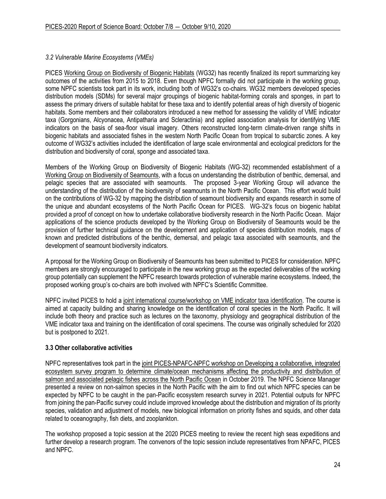## *3.2 Vulnerable Marine Ecosystems (VMEs)*

PICES Working Group on Biodiversity of Biogenic Habitats (WG32) has recently finalized its report summarizing key outcomes of the activities from 2015 to 2018. Even though NPFC formally did not participate in the working group, some NPFC scientists took part in its work, including both of WG32's co-chairs. WG32 members developed species distribution models (SDMs) for several major groupings of biogenic habitat-forming corals and sponges, in part to assess the primary drivers of suitable habitat for these taxa and to identify potential areas of high diversity of biogenic habitats. Some members and their collaborators introduced a new method for assessing the validity of VME indicator taxa (Gorgonians, Alcyonacea, Antipatharia and Scleractinia) and applied association analysis for identifying VME indicators on the basis of sea-floor visual imagery. Others reconstructed long-term climate-driven range shifts in biogenic habitats and associated fishes in the western North Pacific Ocean from tropical to subarctic zones. A key outcome of WG32's activities included the identification of large scale environmental and ecological predictors for the distribution and biodiversity of coral, sponge and associated taxa.

Members of the Working Group on Biodiversity of Biogenic Habitats (WG-32) recommended establishment of a Working Group on Biodiversity of Seamounts, with a focus on understanding the distribution of benthic, demersal, and pelagic species that are associated with seamounts. The proposed 3-year Working Group will advance the understanding of the distribution of the biodiversity of seamounts in the North Pacific Ocean. This effort would build on the contributions of WG-32 by mapping the distribution of seamount biodiversity and expands research in some of the unique and abundant ecosystems of the North Pacific Ocean for PICES. WG-32's focus on biogenic habitat provided a proof of concept on how to undertake collaborative biodiversity research in the North Pacific Ocean. Major applications of the science products developed by the Working Group on Biodiversity of Seamounts would be the provision of further technical guidance on the development and application of species distribution models, maps of known and predicted distributions of the benthic, demersal, and pelagic taxa associated with seamounts, and the development of seamount biodiversity indicators.

A proposal for the Working Group on Biodiversity of Seamounts has been submitted to PICES for consideration. NPFC members are strongly encouraged to participate in the new working group as the expected deliverables of the working group potentially can supplement the NPFC research towards protection of vulnerable marine ecosystems. Indeed, the proposed working group's co-chairs are both involved with NPFC's Scientific Committee.

NPFC invited PICES to hold a joint international course/workshop on VME indicator taxa identification. The course is aimed at capacity building and sharing knowledge on the identification of coral species in the North Pacific. It will include both theory and practice such as lectures on the taxonomy, physiology and geographical distribution of the VME indicator taxa and training on the identification of coral specimens. The course was originally scheduled for 2020 but is postponed to 2021.

### **3.3 Other collaborative activities**

NPFC representatives took part in the joint PICES-NPAFC-NPFC workshop on Developing a collaborative, integrated ecosystem survey program to determine climate/ocean mechanisms affecting the productivity and distribution of salmon and associated pelagic fishes across the North Pacific Ocean in October 2019. The NPFC Science Manager presented a review on non-salmon species in the North Pacific with the aim to find out which NPFC species can be expected by NPFC to be caught in the pan-Pacific ecosystem research survey in 2021. Potential outputs for NPFC from joining the pan-Pacific survey could include improved knowledge about the distribution and migration of its priority species, validation and adjustment of models, new biological information on priority fishes and squids, and other data related to oceanography, fish diets, and zooplankton.

The workshop proposed a topic session at the 2020 PICES meeting to review the recent high seas expeditions and further develop a research program. The convenors of the topic session include representatives from NPAFC, PICES and NPFC.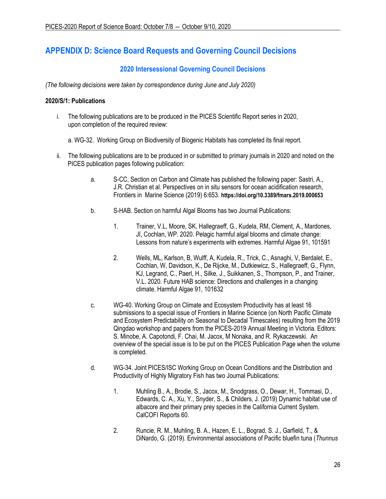# **APPENDIX D: Science Board Requests and Governing Council Decisions**

## **2020 Intersessional Governing Council Decisions**

*(The following decisions were taken by correspondence during June and July 2020)*

### **2020/S/1: Publications**

- i. The following publications are to be produced in the PICES Scientific Report series in 2020, upon completion of the required review:
	- a. WG-32. Working Group on Biodiversity of Biogenic Habitats has completed its final report.
- ii. The following publications are to be produced in or submitted to primary journals in 2020 and noted on the PICES publication pages following publication:
	- a. S-CC, Section on Carbon and Climate has published the following paper: Sastri, A., J.R. Christian et al. Perspectives on in situ sensors for ocean acidification research, Frontiers in Marine Science (2019) 6:653. **<https://doi.org/10.3389/fmars.2019.000653>**
	- b. S-HAB. Section on harmful Algal Blooms has two Journal Publications:
		- 1. Trainer, V.L, Moore, SK, Hallegraeff, G., Kudela, RM, Clement, A., Mardones, JI, Cochlan, WP. 2020. Pelagic harmful algal blooms and climate change: Lessons from nature's experiments with extremes. Harmful Algae 91, 101591
		- 2. Wells, ML, Karlson, B, Wulff, A, Kudela, R., Trick, C., Asnaghi, V, Berdalet, E., Cochlan, W, Davidson, K., De Rijcke, M., Dutkiewicz, S., Hallegraeff, G., Flynn, KJ, Legrand, C., Paerl, H., Silke, J., Suikkanen, S., Thompson, P., and Trainer, V.L. 2020. Future HAB science: Directions and challenges in a changing climate. Harmful Algae 91, 101632
	- c. WG-40. Working Group on Climate and Ecosystem Productivity has at least 16 submissions to a special issue of Frontiers in Marine Science (on North Pacific Climate and Ecosystem Predictability on Seasonal to Decadal Timescales) resulting from the 2019 Qingdao workshop and papers from the PICES-2019 Annual Meeting in Victoria. Editors: S. Minobe, A. Capotondi, F. Chai, M. Jacox, M Nonaka, and R. Rykaczewski. An overview of the special issue is to be put on the PICES Publication Page when the volume is completed.
	- d. WG-34. Joint PICES/ISC Working Group on Ocean Conditions and the Distribution and Productivity of Highly Migratory Fish has two Journal Publications:
		- 1. Muhling B., A., Brodie, S., Jacox, M., Snodgrass, O., Dewar, H., Tommasi, D., Edwards, C. A., Xu, Y., Snyder, S., & Childers, J. (2019) Dynamic habitat use of albacore and their primary prey species in the California Current System. CalCOFI Reports 60.
		- 2. Runcie, R. M., Muhling, B. A., Hazen, E. L., Bograd, S. J., Garfield, T., & DiNardo, G. (2019). Environmental associations of Pacific bluefin tuna (*Thunnus*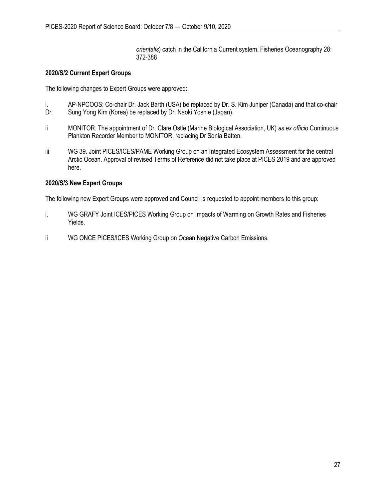*orientalis*) catch in the California Current system. Fisheries Oceanography 28: 372-388

### **2020/S/2 Current Expert Groups**

The following changes to Expert Groups were approved:

- i. AP-NPCOOS: Co-chair Dr. Jack Barth (USA) be replaced by Dr. S. Kim Juniper (Canada) and that co-chair Dr. Sung Yong Kim (Korea) be replaced by Dr. Naoki Yoshie (Japan).
- ii MONITOR. The appointment of Dr. Clare Ostle (Marine Biological Association, UK) *as ex officio* Continuous Plankton Recorder Member to MONITOR, replacing Dr Sonia Batten.
- iii WG 39. Joint PICES/ICES/PAME Working Group on an Integrated Ecosystem Assessment for the central Arctic Ocean. Approval of revised Terms of Reference did not take place at PICES 2019 and are approved here.

### **2020/S/3 New Expert Groups**

The following new Expert Groups were approved and Council is requested to appoint members to this group:

- i. WG GRAFY Joint ICES/PICES Working Group on Impacts of Warming on Growth Rates and Fisheries Yields.
- ii WG ONCE PICES/ICES Working Group on Ocean Negative Carbon Emissions.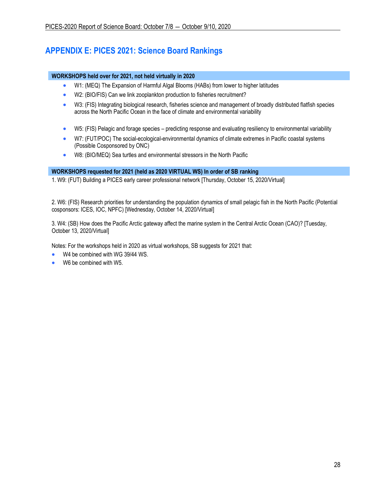# **APPENDIX E: PICES 2021: Science Board Rankings**

### **WORKSHOPS held over for 2021, not held virtually in 2020**

- W1: (MEQ) The Expansion of Harmful Algal Blooms (HABs) from lower to higher latitudes
- W2: (BIO/FIS) Can we link zooplankton production to fisheries recruitment?
- W3: (FIS) Integrating biological research, fisheries science and management of broadly distributed flatfish species across the North Pacific Ocean in the face of climate and environmental variability
- W5: (FIS) Pelagic and forage species predicting response and evaluating resiliency to environmental variability
- W7: (FUT/POC) The social-ecological-environmental dynamics of climate extremes in Pacific coastal systems (Possible Cosponsored by ONC)
- W8: (BIO/MEQ) Sea turtles and environmental stressors in the North Pacific

### **WORKSHOPS requested for 2021 (held as 2020 VIRTUAL WS) In order of SB ranking**

1. W9: (FUT) Building a PICES early career professional network [Thursday, October 15, 2020/Virtual]

2. W6: (FIS) Research priorities for understanding the population dynamics of small pelagic fish in the North Pacific (Potential cosponsors: ICES, IOC, NPFC) [Wednesday, October 14, 2020/Virtual]

3. W4: (SB) How does the Pacific Arctic gateway affect the marine system in the Central Arctic Ocean (CAO)? [Tuesday, October 13, 2020/Virtual]

Notes: For the workshops held in 2020 as virtual workshops, SB suggests for 2021 that:

- W4 be combined with WG 39/44 WS.
- W6 be combined with W5.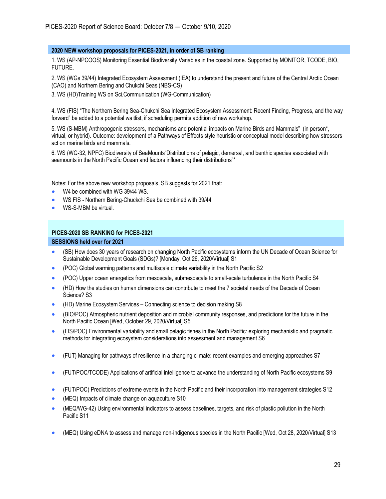### **2020 NEW workshop proposals for PICES-2021, in order of SB ranking**

1. WS (AP-NPCOOS) Monitoring Essential Biodiversity Variables in the coastal zone. Supported by MONITOR, TCODE, BIO, FUTURE.

2. WS (WGs 39/44) Integrated Ecosystem Assessment (IEA) to understand the present and future of the Central Arctic Ocean (CAO) and Northern Bering and Chukchi Seas (NBS-CS)

3. WS (HD)Training WS on Sci.Communication (WG-Communication)

4. WS (FIS) "The Northern Bering Sea-Chukchi Sea Integrated Ecosystem Assessment: Recent Finding, Progress, and the way forward" be added to a potential waitlist, if scheduling permits addition of new workshop.

5. WS (S-MBM) Anthropogenic stressors, mechanisms and potential impacts on Marine Birds and Mammals" (in person\*, virtual, or hybrid). Outcome: development of a Pathways of Effects style heuristic or conceptual model describing how stressors act on marine birds and mammals.

6. WS (WG-32, NPFC) Biodiversity of SeaMounts"Distributions of pelagic, demersal, and benthic species associated with seamounts in the North Pacific Ocean and factors influencing their distributions"\*

Notes: For the above new workshop proposals, SB suggests for 2021 that:

- W4 be combined with WG 39/44 WS.
- WS FIS Northern Bering-Chuckchi Sea be combined with 39/44
- WS-S-MBM be virtual.

#### **PICES-2020 SB RANKING for PICES-2021**

#### **SESSIONS held over for 2021**

- (SB) How does 30 years of research on changing North Pacific ecosystems inform the UN Decade of Ocean Science for Sustainable Development Goals (SDGs)? [Monday, Oct 26, 2020/Virtual] S1
- (POC) Global warming patterns and multiscale climate variability in the North Pacific S2
- (POC) Upper ocean energetics from mesoscale, submesoscale to small-scale turbulence in the North Pacific S4
- (HD) How the studies on human dimensions can contribute to meet the 7 societal needs of the Decade of Ocean Science? S3
- (HD) Marine Ecosystem Services Connecting science to decision making S8
- (BIO/POC) Atmospheric nutrient deposition and microbial community responses, and predictions for the future in the North Pacific Ocean [Wed, October 29, 2020/Virtual] S5
- (FIS/POC) Environmental variability and small pelagic fishes in the North Pacific: exploring mechanistic and pragmatic methods for integrating ecosystem considerations into assessment and management S6
- (FUT) Managing for pathways of resilience in a changing climate: recent examples and emerging approaches S7
- (FUT/POC/TCODE) Applications of artificial intelligence to advance the understanding of North Pacific ecosystems S9
- (FUT/POC) Predictions of extreme events in the North Pacific and their incorporation into management strategies S12
- (MEQ) Impacts of climate change on aquaculture S10
- (MEQ/WG-42) Using environmental indicators to assess baselines, targets, and risk of plastic pollution in the North Pacific S11
- (MEQ) Using eDNA to assess and manage non-indigenous species in the North Pacific [Wed, Oct 28, 2020/Virtual] S13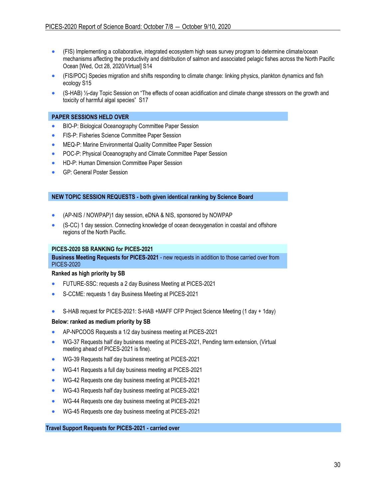- (FIS) Implementing a collaborative, integrated ecosystem high seas survey program to determine climate/ocean mechanisms affecting the productivity and distribution of salmon and associated pelagic fishes across the North Pacific Ocean [Wed, Oct 28, 2020/Virtual] S14
- (FIS/POC) Species migration and shifts responding to climate change: linking physics, plankton dynamics and fish ecology S15
- (S-HAB) ½-day Topic Session on "The effects of ocean acidification and climate change stressors on the growth and toxicity of harmful algal species" S17

#### **PAPER SESSIONS HELD OVER**

- BIO-P: Biological Oceanography Committee Paper Session
- FIS-P: Fisheries Science Committee Paper Session
- MEQ-P: Marine Environmental Quality Committee Paper Session
- POC-P: Physical Oceanography and Climate Committee Paper Session
- HD-P: Human Dimension Committee Paper Session
- GP: General Poster Session

#### **NEW TOPIC SESSION REQUESTS - both given identical ranking by Science Board**

- (AP-NIS / NOWPAP)1 day session, eDNA & NIS, sponsored by NOWPAP
- (S-CC) 1 day session. Connecting knowledge of ocean deoxygenation in coastal and offshore regions of the North Pacific.

#### **PICES-2020 SB RANKING for PICES-2021**

**Business Meeting Requests for PICES-2021** - new requests in addition to those carried over from PICES-2020

#### **Ranked as high priority by SB**

- FUTURE-SSC: requests a 2 day Business Meeting at PICES-2021
- S-CCME: requests 1 day Business Meeting at PICES-2021
- S-HAB request for PICES-2021: S-HAB +MAFF CFP Project Science Meeting (1 day + 1day)

#### **Below: ranked as medium priority by SB**

- AP-NPCOOS Requests a 1/2 day business meeting at PICES-2021
- WG-37 Requests half day business meeting at PICES-2021, Pending term extension, (Virtual meeting ahead of PICES-2021 is fine).
- WG-39 Requests half day business meeting at PICES-2021
- WG-41 Requests a full day business meeting at PICES-2021
- WG-42 Requests one day business meeting at PICES-2021
- WG-43 Requests half day business meeting at PICES-2021
- WG-44 Requests one day business meeting at PICES-2021
- WG-45 Requests one day business meeting at PICES-2021

#### **Travel Support Requests for PICES-2021 - carried over**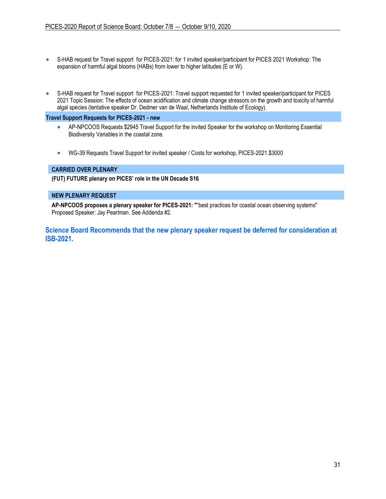- S-HAB request for Travel support for PICES-2021: for 1 invited speaker/participant for PICES 2021 Workshop: The expansion of harmful algal blooms (HABs) from lower to higher latitudes (E or W).
- S-HAB request for Travel support for PICES-2021: Travel support requested for 1 invited speaker/participant for PICES 2021 Topic Session: The effects of ocean acidification and climate change stressors on the growth and toxicity of harmful algal species (tentative speaker Dr. Dedmer van de Waal, Netherlands Institute of Ecology).

#### **Travel Support Requests for PICES-2021 - new**

- AP-NPCOOS Requests \$2945 Travel Support for the invited Speaker for the workshop on Monitoring Essential Biodiversity Variables in the coastal zone.
- WG-39 Requests Travel Support for invited speaker / Costs for workshop, PICES-2021.\$3000

### **CARRIED OVER PLENARY**

**(FUT) FUTURE plenary on PICES' role in the UN Decade S16**

#### **NEW PLENARY REQUEST**

**AP-NPCOOS proposes a plenary speaker for PICES-2021: "**"best practices for coastal ocean observing systems" Proposed Speaker: Jay Pearlman. See Addenda #2.

**Science Board Recommends that the new plenary speaker request be deferred for consideration at ISB-2021.**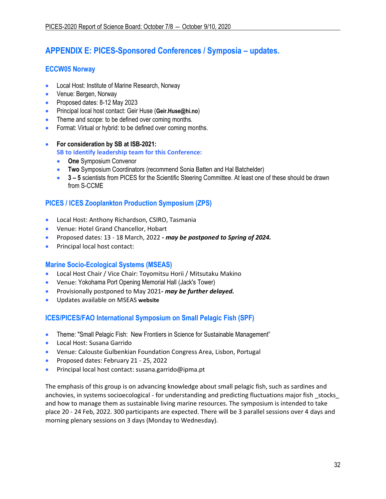# **APPENDIX E: PICES-Sponsored Conferences / Symposia – updates.**

## **ECCW05 Norway**

- Local Host: Institute of Marine Research, Norway
- Venue: Bergen, Norway
- Proposed dates: 8-12 May 2023
- Principal local host contact: Geir Huse (**[Geir.Huse@hi.no](mailto:Geir.Huse@hi.no)**)
- Theme and scope: to be defined over coming months.
- Format: Virtual or hybrid: to be defined over coming months.
- **For consideration by SB at ISB-2021: SB to identify leadership team for this Conference:**
	- **One** Symposium Convenor
	- **Two** Symposium Coordinators (recommend Sonia Batten and Hal Batchelder)
	- **3 – 5** scientists from PICES for the Scientific Steering Committee. At least one of these should be drawn from S-CCME

## **PICES / ICES Zooplankton Production Symposium (ZPS)**

- Local Host: Anthony Richardson, CSIRO, Tasmania
- Venue: Hotel Grand Chancellor, Hobart
- Proposed dates: 13 18 March, 2022 *- may be postponed to Spring of 2024.*
- Principal local host contact:

## **Marine Socio-Ecological Systems (MSEAS)**

- Local Host Chair / Vice Chair: Toyomitsu Horii / Mitsutaku Makino
- Venue: Yokohama Port Opening Memorial Hall (Jack's Tower)
- Provisionally postponed to May 2021*- may be further delayed.*
- Updates available on MSEAS **[website](https://meetings.pices.int/meetings/international/2020/MSEAS/news)**

## **ICES/PICES/FAO International Symposium on Small Pelagic Fish (SPF)**

- Theme: "Small Pelagic Fish: New Frontiers in Science for Sustainable Management"
- Local Host: Susana Garrido
- Venue: Calouste Gulbenkian Foundation Congress Area, Lisbon, Portugal
- Proposed dates: February 21 25, 2022
- Principal local host contact: susana.garrido@ipma.pt

The emphasis of this group is on advancing knowledge about small pelagic fish, such as sardines and anchovies, in systems socioecological - for understanding and predicting fluctuations major fish \_stocks\_ and how to manage them as sustainable living marine resources. The symposium is intended to take place 20 - 24 Feb, 2022. 300 participants are expected. There will be 3 parallel sessions over 4 days and morning plenary sessions on 3 days (Monday to Wednesday).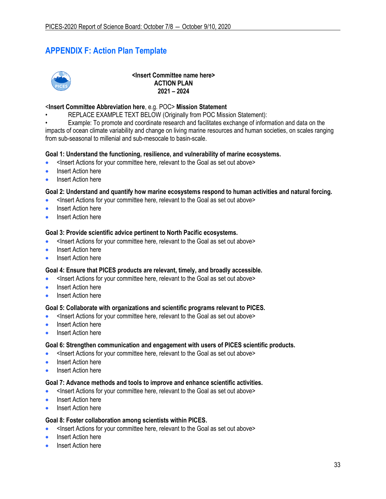# **APPENDIX F: Action Plan Template**



**<Insert Committee name here> ACTION PLAN 2021 – 2024**

### <**Insert Committee Abbreviation here**, e.g. POC> **Mission Statement**

- REPLACE EXAMPLE TEXT BELOW (Originally from POC Mission Statement):
- Example: To promote and coordinate research and facilitates exchange of information and data on the

impacts of ocean climate variability and change on living marine resources and human societies, on scales ranging from sub-seasonal to millenial and sub-mesocale to basin-scale.

### **Goal 1: Understand the functioning, resilience, and vulnerability of marine ecosystems.**

- <Insert Actions for your committee here, relevant to the Goal as set out above>
- Insert Action here
- Insert Action here

### **Goal 2: Understand and quantify how marine ecosystems respond to human activities and natural forcing.**

- <Insert Actions for your committee here, relevant to the Goal as set out above>
- Insert Action here
- Insert Action here

### **Goal 3: Provide scientific advice pertinent to North Pacific ecosystems.**

- <Insert Actions for your committee here, relevant to the Goal as set out above>
- Insert Action here
- Insert Action here

### **Goal 4: Ensure that PICES products are relevant, timely, and broadly accessible.**

- <Insert Actions for your committee here, relevant to the Goal as set out above>
- Insert Action here
- Insert Action here

### **Goal 5: Collaborate with organizations and scientific programs relevant to PICES.**

- <Insert Actions for your committee here, relevant to the Goal as set out above>
- Insert Action here
- Insert Action here

### **Goal 6: Strengthen communication and engagement with users of PICES scientific products.**

- <Insert Actions for your committee here, relevant to the Goal as set out above>
- Insert Action here
- **Insert Action here**

### **Goal 7: Advance methods and tools to improve and enhance scientific activities.**

- <Insert Actions for your committee here, relevant to the Goal as set out above>
- Insert Action here
- Insert Action here

### **Goal 8: Foster collaboration among scientists within PICES.**

- <Insert Actions for your committee here, relevant to the Goal as set out above>
- **Insert Action here**
- Insert Action here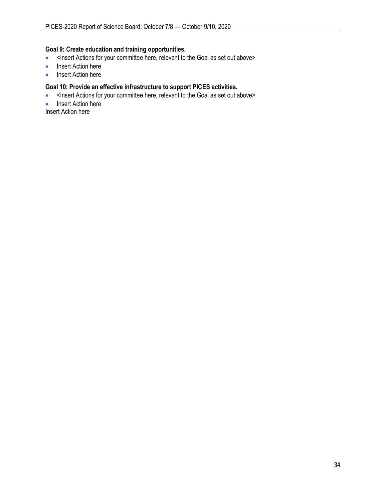## **Goal 9: Create education and training opportunities.**

- <Insert Actions for your committee here, relevant to the Goal as set out above>
- Insert Action here
- Insert Action here

### **Goal 10: Provide an effective infrastructure to support PICES activities.**

- <Insert Actions for your committee here, relevant to the Goal as set out above>
- Insert Action here

Insert Action here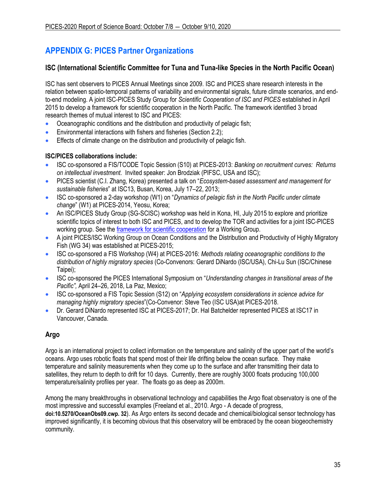# **APPENDIX G: PICES Partner Organizations**

## **ISC (International Scientific Committee for Tuna and Tuna-like Species in the North Pacific Ocean)**

ISC has sent observers to PICES Annual Meetings since 2009. ISC and PICES share research interests in the relation between spatio-temporal patterns of variability and environmental signals, future climate scenarios, and endto-end modeling. A joint ISC-PICES Study Group for *Scientific Cooperation of ISC and PICES* established in April 2015 to develop a framework for scientific cooperation in the North Pacific. The framework identified 3 broad research themes of mutual interest to ISC and PICES:

- Oceanographic conditions and the distribution and productivity of pelagic fish;
- Environmental interactions with fishers and fisheries (Section 2.2);
- Effects of climate change on the distribution and productivity of pelagic fish.

## **ISC/PICES collaborations include:**

- ISC co-sponsored a FIS/TCODE Topic Session (S10) at PICES-2013: *Banking on recruitment curves: Returns on intellectual investment*. Invited speaker: Jon Brodziak (PIFSC, USA and ISC);
- PICES scientist (C.I. Zhang, Korea) presented a talk on "*Ecosystem-based assessment and management for sustainable fisheries*" at ISC13, Busan, Korea, July 17–22, 2013;
- ISC co-sponsored a 2-day workshop (W1) on "*Dynamics of pelagic fish in the North Pacific under climate change*" (W1) at PICES-2014, Yeosu, Korea;
- An ISC/PICES Study Group (SG-SCISC) workshop was held in Kona, HI, July 2015 to explore and prioritize scientific topics of interest to both ISC and PICES, and to develop the TOR and activities for a joint ISC-PICES working group. See the [framework for scientific cooperation](http://pices.int/publications/annual_reports/Ann_Rpt_15/2015-SG-SCISC.pdf) for a Working Group.
- A joint PICES/ISC Working Group on Ocean Conditions and the Distribution and Productivity of Highly Migratory Fish (WG 34) was established at PICES-2015;
- ISC co-sponsored a FIS Workshop (W4) at PICES-2016: *Methods relating oceanographic conditions to the distribution of highly migratory species* (Co-Convenors: Gerard DiNardo (ISC/USA), Chi-Lu Sun (ISC/Chinese Taipei);
- ISC co-sponsored the PICES International Symposium on "*Understanding changes in transitional areas of the Pacific",* April 24–26, 2018, La Paz, Mexico;
- ISC co-sponsored a FIS Topic Session (S12) on "*Applying ecosystem considerations in science advice for managing highly migratory species*"(Co-Convenor: Steve Teo (ISC USA)at PICES-2018.
- Dr. Gerard DiNardo represented ISC at PICES-2017; Dr. Hal Batchelder represented PICES at ISC17 in Vancouver, Canada.

## **Argo**

Argo is an international project to collect information on the temperature and salinity of the upper part of the world's oceans. Argo uses robotic floats that spend most of their life drifting below the ocean surface. They make temperature and salinity measurements when they come up to the surface and after transmitting their data to satellites, they return to depth to drift for 10 days. Currently, there are roughly 3000 floats producing 100,000 temperature/salinity profiles per year. The floats go as deep as 2000m.

Among the many breakthroughs in observational technology and capabilities the Argo float observatory is one of the most impressive and successful examples (Freeland et al., 2010. Argo - A decade of progress, **[doi:10.5270/OceanObs09.cwp.](http://www.oceanobs09.net/proceedings/cwp/Freeland-OceanObs09.cwp.32.pdf) 32**). As Argo enters its second decade and chemical/biological sensor technology has improved significantly, it is becoming obvious that this observatory will be embraced by the ocean biogeochemistry community.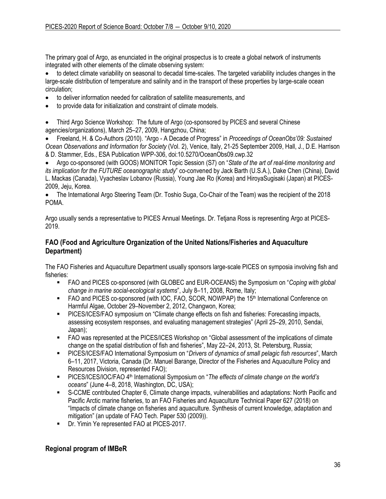The primary goal of Argo, as enunciated in the original prospectus is to create a global network of instruments integrated with other elements of the climate observing system:

• to detect climate variability on seasonal to decadal time-scales. The targeted variability includes changes in the large-scale distribution of temperature and salinity and in the transport of these properties by large-scale ocean circulation;

- to deliver information needed for calibration of satellite measurements, and
- to provide data for initialization and constraint of climate models.

• Third Argo Science Workshop: The future of Argo (co-sponsored by PICES and several Chinese agencies/organizations), March 25–27, 2009, Hangzhou, China;

• Freeland, H. & Co-Authors (2010). "Argo - A Decade of Progress" in *Proceedings of OceanObs'09: Sustained Ocean Observations and Information for Society* (Vol. 2), Venice, Italy, 21-25 September 2009, Hall, J., D.E. Harrison & D. Stammer, Eds., ESA Publication WPP-306, doi:10.5270/OceanObs09.cwp.32

• Argo co-sponsored (with GOOS) MONITOR Topic Session (S7) on "*State of the art of real-time monitoring and its implication for the FUTURE oceanographic study*" co-convened by Jack Barth (U.S.A.), Dake Chen (China), David L. Mackas (Canada), Vyacheslav Lobanov (Russia), Young Jae Ro (Korea) and HiroyaSugisaki (Japan) at PICES-2009, Jeju, Korea.

• The International Argo Steering Team (Dr. Toshio Suga, Co-Chair of the Team) was the recipient of the 2018 POMA.

Argo usually sends a representative to PICES Annual Meetings. Dr. Tetjana Ross is representing Argo at PICES-2019.

## **FAO (Food and Agriculture Organization of the United Nations/Fisheries and Aquaculture Department)**

The FAO Fisheries and Aquaculture Department usually sponsors large-scale PICES on symposia involving fish and fisheries:

- FAO and PICES co-sponsored (with GLOBEC and EUR-OCEANS) the Symposium on "*Coping with global change in marine social-ecological systems*", July 8–11, 2008, Rome, Italy;
- FAO and PICES co-sponsored (with IOC, FAO, SCOR, NOWPAP) the 15<sup>th</sup> International Conference on Harmful Algae, October 29–November 2, 2012, Changwon, Korea;
- **PICES/ICES/FAO symposium on "Climate change effects on fish and fisheries: Forecasting impacts,** assessing ecosystem responses, and evaluating management strategies" (April 25–29, 2010, Sendai, Japan);
- FAO was represented at the PICES/ICES Workshop on "Global assessment of the implications of climate change on the spatial distribution of fish and fisheries", May 22–24, 2013, St. Petersburg, Russia;
- PICES/ICES/FAO International Symposium on "*Drivers of dynamics of small pelagic fish resources*", March 6–11, 2017, Victoria, Canada (Dr. Manuel Barange, Director of the Fisheries and Aquaculture Policy and Resources Division, represented FAO);
- PICES/ICES/IOC/FAO 4<sup>th</sup> International Symposium on "*The effects of climate change on the world's oceans*" (June 4–8, 2018, Washington, DC, USA);
- S-CCME contributed Chapter 6, Climate change impacts, vulnerabilities and adaptations: North Pacific and Pacific Arctic marine fisheries, to an FAO Fisheries and Aquaculture Technical Paper 627 (2018) on "Impacts of climate change on fisheries and aquaculture. Synthesis of current knowledge, adaptation and mitigation" (an update of FAO Tech. Paper 530 (2009)).
- **Dr. Yimin Ye represented FAO at PICES-2017.**

## **Regional program of IMBeR**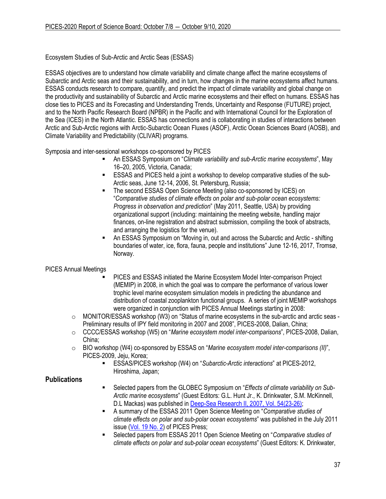Ecosystem Studies of Sub-Arctic and Arctic Seas (ESSAS)

ESSAS objectives are to understand how climate variability and climate change affect the marine ecosystems of Subarctic and Arctic seas and their sustainability, and in turn, how changes in the marine ecosystems affect humans. ESSAS conducts research to compare, quantify, and predict the impact of climate variability and global change on the productivity and sustainability of Subarctic and Arctic marine ecosystems and their effect on humans. ESSAS has close ties to PICES and its Forecasting and Understanding Trends, Uncertainty and Response (FUTURE) project, and to the North Pacific Research Board (NPBR) in the Pacific and with International Council for the Exploration of the Sea (ICES) in the North Atlantic. ESSAS has connections and is collaborating in studies of interactions between Arctic and Sub-Arctic regions with Arctic-Subarctic Ocean Fluxes (ASOF), Arctic Ocean Sciences Board (AOSB), and Climate Variability and Predictability (CLIVAR) programs.

Symposia and inter-sessional workshops co-sponsored by PICES

- An ESSAS Symposium on "*Climate variability and sub-Arctic marine ecosystems*", May 16–20, 2005, Victoria, Canada;
- **ESSAS and PICES held a joint a workshop to develop comparative studies of the sub-**Arctic seas, June 12-14, 2006, St. Petersburg, Russia;
- The second ESSAS Open Science Meeting (also co-sponsored by ICES) on "*Comparative studies of climate effects on polar and sub-polar ocean ecosystems: Progress in observation and prediction*" (May 2011, Seattle, USA) by providing organizational support (including: maintaining the meeting website, handling major finances, on-line registration and abstract submission, compiling the book of abstracts, and arranging the logistics for the venue).
- An ESSAS Symposium on "Moving in, out and across the Subarctic and Arctic shifting boundaries of water, ice, flora, fauna, people and institutions" June 12-16, 2017, Tromsø, Norway.

## PICES Annual Meetings

- PICES and ESSAS initiated the Marine Ecosystem Model Inter-comparison Project (MEMIP) in 2008, in which the goal was to compare the performance of various lower trophic level marine ecosystem simulation models in predicting the abundance and distribution of coastal zooplankton functional groups. A series of joint MEMIP workshops were organized in conjunction with PICES Annual Meetings starting in 2008:
- o MONITOR/ESSAS workshop (W3) on "Status of marine ecosystems in the sub-arctic and arctic seas Preliminary results of IPY field monitoring in 2007 and 2008", PICES-2008, Dalian, China;
- o CCCC/ESSAS workshop (W5) on "*Marine ecosystem model inter-comparisons*", PICES-2008, Dalian, China;
- o BIO workshop (W4) co-sponsored by ESSAS on "*Marine ecosystem model inter-comparisons (II)*", PICES-2009, Jeju, Korea;
	- ESSAS/PICES workshop (W4) on "*Subarctic-Arctic interactions*" at PICES-2012, Hiroshima, Japan;

## **Publications**

- Selected papers from the GLOBEC Symposium on "Effects of climate variability on Sub-*Arctic marine ecosystems*" (Guest Editors: G.L. Hunt Jr., K. Drinkwater, S.M. McKinnell, D.L Mackas) was published in [Deep-Sea Research II, 2007, Vol. 54\(23-26\);](https://www.sciencedirect.com/journal/deep-sea-research-part-ii-topical-studies-in-oceanography/vol/54/issue/23)
- A summary of the ESSAS 2011 Open Science Meeting on "*Comparative studies of climate effects on polar and sub-polar ocean ecosystems*" was published in the July 2011 issue [\(Vol. 19 No. 2\)](http://www.pices.int/publications/pices_press/volume19/v19_n2/pp_9-13_ESSAS_OSM.pdf) of PICES Press;
- Selected papers from ESSAS 2011 Open Science Meeting on "*Comparative studies of climate effects on polar and sub-polar ocean ecosystems*" (Guest Editors: K. Drinkwater,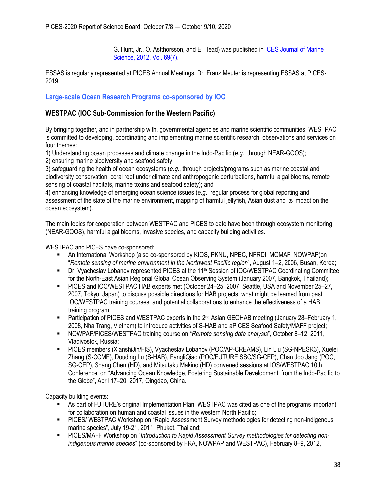G. Hunt, Jr., O. Astthorsson, and E. Head) was published i[n ICES Journal of Marine](http://icesjms.oxfordjournals.org/content/69/7.toc)  [Science, 2012, Vol. 69\(7\).](http://icesjms.oxfordjournals.org/content/69/7.toc)

ESSAS is regularly represented at PICES Annual Meetings. Dr. Franz Meuter is representing ESSAS at PICES-2019.

## **Large-scale Ocean Research Programs co-sponsored by IOC**

## **WESTPAC (IOC Sub-Commission for the Western Pacific)**

By bringing together, and in partnership with, governmental agencies and marine scientific communities, WESTPAC is committed to developing, coordinating and implementing marine scientific research, observations and services on four themes:

1) Understanding ocean processes and climate change in the Indo-Pacific (*e.g*., through NEAR-GOOS);

2) ensuring marine biodiversity and seafood safety;

3) safeguarding the health of ocean ecosystems (*e.g*., through projects/programs such as marine coastal and biodiversity conservation, coral reef under climate and anthropogenic perturbations, harmful algal blooms, remote sensing of coastal habitats, marine toxins and seafood safety); and

4) enhancing knowledge of emerging ocean science issues (*e.g*., regular process for global reporting and assessment of the state of the marine environment, mapping of harmful jellyfish, Asian dust and its impact on the ocean ecosystem).

The main topics for cooperation between WESTPAC and PICES to date have been through ecosystem monitoring (NEAR-GOOS), harmful algal blooms, invasive species, and capacity building activities.

WESTPAC and PICES have co-sponsored:

- An International Workshop (also co-sponsored by KIOS, PKNU, NPEC, NFRDI, MOMAF, NOWPAP)on "*Remote sensing of marine environment in the Northwest Pacific region*", August 1–2, 2006, Busan, Korea;
- Dr. Vyacheslav Lobanov represented PICES at the 11<sup>th</sup> Session of IOC/WESTPAC Coordinating Committee for the North-East Asian Regional Global Ocean Observing System (January 2007, Bangkok, Thailand);
- PICES and IOC/WESTPAC HAB experts met (October 24–25, 2007, Seattle, USA and November 25–27, 2007, Tokyo, Japan) to discuss possible directions for HAB projects, what might be learned from past IOC/WESTPAC training courses, and potential collaborations to enhance the effectiveness of a HAB training program;
- **EXECT** Participation of PICES and WESTPAC experts in the  $2^{nd}$  Asian GEOHAB meeting (January 28–February 1, 2008, Nha Trang, Vietnam) to introduce activities of S-HAB and aPICES Seafood Safety/MAFF project;
- NOWPAP/PICES/WESTPAC training course on "*Remote sensing data analysis*"*,* October 8–12, 2011, Vladivostok, Russia;
- PICES members (XianshiJin/FIS), Vyacheslav Lobanov (POC/AP-CREAMS), Lin Liu (SG-NPESR3), Xuelei Zhang (S-CCME), Douding Lu (S-HAB), FangliQiao (POC/FUTURE SSC/SG-CEP), Chan Joo Jang (POC, SG-CEP), Shang Chen (HD), and Mitsutaku Makino (HD) convened sessions at IOS/WESTPAC 10th Conference, on "Advancing Ocean Knowledge, Fostering Sustainable Development: from the Indo-Pacific to the Globe", April 17–20, 2017, Qingdao, China.

Capacity building events:

- As part of FUTURE's original Implementation Plan, WESTPAC was cited as one of the programs important for collaboration on human and coastal issues in the western North Pacific;
- **PICES/ WESTPAC Workshop on "Rapid Assessment Survey methodologies for detecting non-indigenous** marine species", July 19-21, 2011, Phuket, Thailand;
- **PICES/MAFF Workshop on "***Introduction to Rapid Assessment Survey methodologies for detecting nonindigenous marine species*" (co-sponsored by FRA, NOWPAP and WESTPAC), February 8–9, 2012,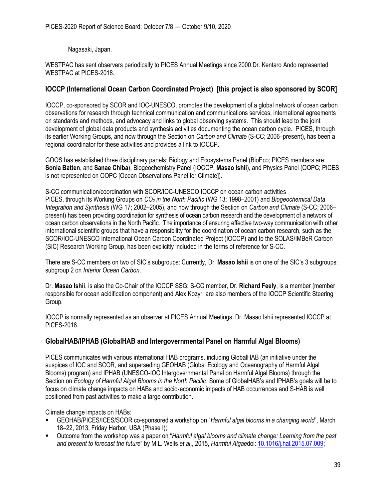Nagasaki, Japan.

WESTPAC has sent observers periodically to PICES Annual Meetings since 2000.Dr. Kentaro Ando represented WESTPAC at PICES-2018.

## **IOCCP (International Ocean Carbon Coordinated Project) [this project is also sponsored by SCOR]**

IOCCP, co-sponsored by SCOR and IOC-UNESCO, promotes the development of a global network of ocean carbon observations for research through technical communication and communications services, international agreements on standards and methods, and advocacy and links to global observing systems. This should lead to the joint development of global data products and synthesis activities documenting the ocean carbon cycle. PICES, through its earlier Working Groups, and now through the Section on *Carbon and Climate* (S-CC; 2006–present), has been a regional coordinator for these activities and provides a link to IOCCP.

GOOS has established three disciplinary panels: Biology and Ecosystems Panel (BioEco; PICES members are: **Sonia Batten**, and **Sanae Chiba**), Biogeochemistry Panel (IOCCP; **Masao Ishii**), and Physics Panel (OOPC; PICES is not represented on OOPC [Ocean Observations Panel for Climate]).

S-CC communication/coordination with SCOR/IOC-UNESCO IOCCP on ocean carbon activities PICES, through its Working Groups on *CO<sup>2</sup> in the North Pacific* (WG 13; 1998–2001) and *Biogeochemical Data Integration and Synthesis* (WG 17; 2002–2005), and now through the Section on *Carbon and Climate* (S-CC; 2006– present) has been providing coordination for synthesis of ocean carbon research and the development of a network of ocean carbon observations in the North Pacific. The importance of ensuring effective two-way communication with other international scientific groups that have a responsibility for the coordination of ocean carbon research, such as the SCOR/IOC-UNESCO International Ocean Carbon Coordinated Project (IOCCP) and to the SOLAS/IMBeR Carbon (SIC) Research Working Group, has been explicitly included in the terms of reference for S-CC.

There are S-CC members on two of SIC's subgroups: Currently, Dr. **Masao Ishii** is on one of the SIC's 3 subgroups: subgroup 2 on *Interior Ocean Carbon*.

Dr. **Masao Ishii**, is also the Co-Chair of the IOCCP SSG; S-CC member, Dr. **Richard Feely**, is a member (member responsible for ocean acidification component) and Alex Kozyr, are also members of the IOCCP Scientific Steering Group.

IOCCP is normally represented as an observer at PICES Annual Meetings. Dr. Masao Ishii represented IOCCP at PICES-2018.

## **GlobalHAB/IPHAB (GlobalHAB and Intergovernmental Panel on Harmful Algal Blooms)**

PICES communicates with various international HAB programs, including GlobalHAB (an initiative under the auspices of IOC and SCOR, and superseding GEOHAB (Global Ecology and Oceanography of Harmful Algal Blooms) program) and IPHAB (UNESCO-IOC Intergovernmental Panel on Harmful Algal Blooms) through the Section on *Ecology of Harmful Algal Blooms in the North Pacific*. Some of GlobalHAB's and IPHAB's goals will be to focus on climate change impacts on HABs and socio-economic impacts of HAB occurrences and S-HAB is well positioned from past activities to make a large contribution.

Climate change impacts on HABs:

- GEOHAB/PICES/ICES/SCOR co-sponsored a workshop on "*Harmful algal blooms in a changing world*", March 18–22, 2013, Friday Harbor, USA (Phase I);
- Outcome from the workshop was a paper on "*Harmful algal blooms and climate change: Learning from the past and present to forecast the future*" by M.L. Wells *et al*., 2015, *Harmful Algae*doi: [10.1016/j.hal.2015.07.009;](http://dx.doi.org/10.1016/j.hal.2015.07.009)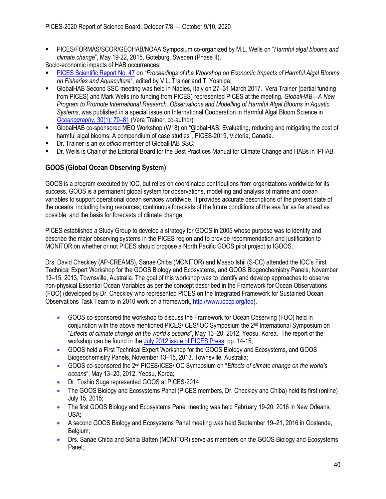▪ PICES/FORMAS/SCOR/GEOHAB/NOAA Symposium co-organized by M.L. Wells on "*Harmful algal blooms and climate change*", May 19-22, 2015, Göteburg, Sweden (Phase II).

Socio-economic impacts of HAB occurrences:

- [PICES Scientific Report No. 47](https://www.pices.int/publications/scientific_reports/Report47/Rpt47.pdf) on "*Proceedings of the Workshop on Economic Impacts of Harmful Algal Blooms on Fisheries and Aquaculture*", edited by V.L. Trainer and T. Yoshida;
- GlobalHAB Second SSC meeting was held in Naples, Italy on 27–31 March 2017. Vera Trainer (partial funding from PICES) and Mark Wells (no funding from PICES) represented PICES at the meeting. *GlobalHAB—A New Program to Promote International Research, Observations and Modelling of Harmful Algal Blooms in Aquatic Systems*, was published in a special issue on International Cooperation in Harmful Algal Bloom Science in *[Oceanography](https://tos.org/oceanography/article/globalhab-a-new-program-to-promote-international-research-observations-and)*, 30(1): 70–[81](https://tos.org/oceanography/article/globalhab-a-new-program-to-promote-international-research-observations-and) (Vera Trainer, co-author);
- GlobalHAB co-sponsored MEQ Workshop (W18) on "GlobalHAB: Evaluating, reducing and mitigating the cost of harmful algal blooms: A compendium of case studies", PICES-2019, Victoria, Canada.
- Dr. Trainer is an *ex officio* member of GlobalHAB SSC;
- Dr. Wells is Chair of the Editorial Board for the Best Practices Manual for Climate Change and HABs in IPHAB.

## **GOOS (Global Ocean Observing System)**

GOOS is a program executed by IOC, but relies on coordinated contributions from organizations worldwide for its success. GOOS is a permanent global system for observations, modelling and analysis of marine and ocean variables to support operational ocean services worldwide. It provides accurate descriptions of the present state of the oceans, including living resources; continuous forecasts of the future conditions of the sea for as far ahead as possible, and the basis for forecasts of climate change.

PICES established a Study Group to develop a strategy for GOOS in 2005 whose purpose was to identify and describe the major observing systems in the PICES region and to provide recommendation and justification to MONITOR on whether or not PICES should propose a North Pacific GOOS pilot project to IGOOS.

Drs. David Checkley (AP-CREAMS), Sanae Chiba (MONITOR) and Masao Ishii (S-CC) attended the IOC's First Technical Expert Workshop for the GOOS Biology and Ecosystems, and GOOS Biogeochemistry Panels, November 13–15, 2013, Townsville, Australia. The goal of this workshop was to identify and develop approaches to observe non-physical Essential Ocean Variables as per the concept described in the Framework for Ocean Observations (FOO) (developed by Dr. Checkley who represented PICES on the Integrated Framework for Sustained Ocean Observations Task Team to in 2010 work on a framework, [http://www.ioccp.org/foo\)](http://www.ioccp.org/foo).

- GOOS co-sponsored the workshop to discuss the Framework for Ocean Observing (FOO) held in conjunction with the above mentioned PICES/ICES/IOC Symposium the 2<sup>nd</sup> International Symposium on "*Effects of climate change on the world's oceans*", May 13–20, 2012, Yeosu, Korea. The report of the workshop can be found in the [July 2012 issue of PICES Press,](http://meetings.pices.int/publications/pices-press/volume20/issue2/PICES_Press_Vol_20_No2-full.pdf) pp. 14-15;
- GOOS held a First Technical Expert Workshop for the GOOS Biology and Ecosystems, and GOOS Biogeochemistry Panels, November 13–15, 2013, Townsville, Australia;
- GOOS co-sponsored the 2nd PICES/ICES/IOC Symposium on "*Effects of climate change on the world's oceans*", May 13–20, 2012, Yeosu, Korea;
- Dr. Toshio Suga represented GOOS at PICES-2014;
- The GOOS Biology and Ecosystems Panel (PICES members, Dr. Checkley and Chiba) held its first (online) July 15, 2015;
- The first GOOS Biology and Ecosystems Panel meeting was held February 19-20, 2016 in New Orleans, USA;
- A second GOOS Biology and Ecosystems Panel meeting was held September 19–21, 2016 in Oostende, Belgium:
- Drs. Sanae Chiba and Sonia Batten (MONITOR) serve as members on the GOOS Biology and Ecosystems Panel;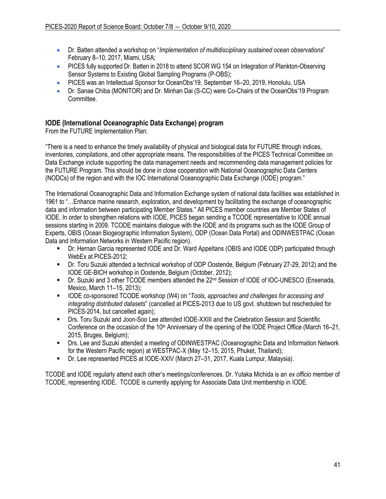- Dr. Batten attended a workshop on "*Implementation of multidisciplinary sustained ocean observations*" February 8–10, 2017, Miami, USA;
- PICES fully supported Dr. Batten in 2018 to attend SCOR WG 154 on Integration of Plankton-Observing Sensor Systems to Existing Global Sampling Programs (P-OBS);
- PICES was an Intellectual Sponsor for OceanObs'19, September 16–20, 2019, Honolulu, USA
- Dr. Sanae Chiba (MONITOR) and Dr. Minhan Dai (S-CC) were Co-Chairs of the OceanObs'19 Program Committee.

## **IODE (International Oceanographic Data Exchange) program**

From the FUTURE Implementation Plan:

"There is a need to enhance the timely availability of physical and biological data for FUTURE through indices, inventories, compilations, and other appropriate means. The responsibilities of the PICES Technical Committee on Data Exchange include supporting the data management needs and recommending data management policies for the FUTURE Program. This should be done in close cooperation with National Oceanographic Data Centers (NODCs) of the region and with the IOC International Oceanographic Data Exchange (IODE) program."

The International Oceanographic Data and Information Exchange system of national data facilities was established in 1961 to "…Enhance marine research, exploration, and development by facilitating the exchange of oceanographic data and information between participating Member States." All PICES member countries are Member States of IODE. In order to strengthen relations with IODE, PICES began sending a TCODE representative to IODE annual sessions starting in 2009. TCODE maintains dialogue with the IODE and its programs such as the IODE Group of Experts, OBIS (Ocean Biogeographic Information System), ODP (Ocean Data Portal) and ODINWESTPAC (Ocean Data and Information Networks in Western Pacific region).

- Dr. Hernan Garcia represented IODE and Dr. Ward Appeltans (OBIS and IODE ODP) participated through WebEx at PICES-2012;
- Dr. Toru Suzuki attended a technical workshop of ODP Oostende, Belgium (February 27-29, 2012) and the IODE GE-BICH workshop in Oostende, Belgium (October, 2012);
- Dr. Suzuki and 3 other TCODE members attended the 22<sup>nd</sup> Session of IODE of IOC-UNESCO (Ensenada, Mexico, March 11–15, 2013);
- IODE co-sponsored TCODE workshop (W4) on "*Tools, approaches and challenges for accessing and integrating distributed datasets*" (cancelled at PICES-2013 due to US govt. shutdown but rescheduled for PICES-2014, but cancelled again);
- **Drs. Toru Suzuki and Joon-Soo Lee attended IODE-XXIII and the Celebration Session and Scientific** Conference on the occasion of the  $10<sup>th</sup>$  Anniversary of the opening of the IODE Project Office (March 16–21, 2015, Bruges, Belgium);
- Drs. Lee and Suzuki attended a meeting of ODINWESTPAC (Oceanographic Data and Information Network for the Western Pacific region) at WESTPAC-X (May 12–15, 2015, Phuket, Thailand);
- Dr. Lee represented PICES at IODE-XXIV (March 27–31, 2017, Kuala Lumpur, Malaysia).

TCODE and IODE regularly attend each other's meetings/conferences. Dr. Yutaka Michida is an *ex officio* member of TCODE, representing IODE. TCODE is currently applying for Associate Data Unit membership in IODE.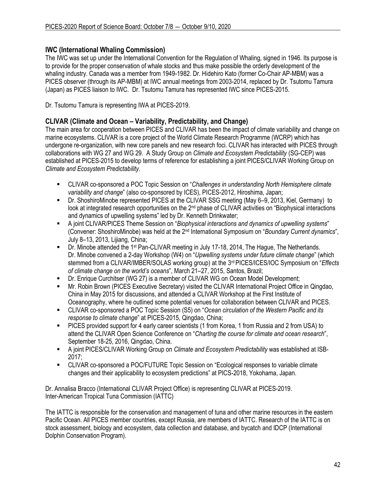## **IWC (International Whaling Commission)**

The IWC was set up under the International Convention for the Regulation of Whaling, signed in 1946. Its purpose is to provide for the proper conservation of whale stocks and thus make possible the orderly development of the whaling industry. Canada was a member from 1949-1982. Dr. Hidehiro Kato (former Co-Chair AP-MBM) was a PICES observer (through its AP-MBM) at IWC annual meetings from 2003-2014, replaced by Dr. Tsutomu Tamura (Japan) as PICES liaison to IWC. Dr. Tsutomu Tamura has represented IWC since PICES-2015.

Dr. Tsutomu Tamura is representing IWA at PICES-2019.

## **CLIVAR (Climate and Ocean – Variability, Predictability, and Change)**

The main area for cooperation between PICES and CLIVAR has been the impact of climate variability and change on marine ecosystems. CLIVAR is a core project of the World Climate Research Programme (WCRP) which has undergone re-organization, with new core panels and new research foci. CLIVAR has interacted with PICES through collaborations with WG 27 and WG 29. A Study Group on *Climate and Ecosystem Predictability* (SG-CEP) was established at PICES-2015 to develop terms of reference for establishing a joint PICES/CLIVAR Working Group on *Climate and Ecosystem Predictability*.

- CLIVAR co-sponsored a POC Topic Session on "*Challenges in understanding North Hemisphere climate variability and change*" (also co-sponsored by ICES), PICES-2012, Hiroshima, Japan;
- Dr. ShoshiroMinobe represented PICES at the CLIVAR SSG meeting (May 6–9, 2013, Kiel, Germany) to look at integrated research opportunities on the 2<sup>nd</sup> phase of CLIVAR activities on "Biophysical interactions" and dynamics of upwelling systems" led by Dr. Kenneth Drinkwater;
- A joint CLIVAR/PICES Theme Session on "*Biophysical interactions and dynamics of upwelling systems*" (Convener: ShoshiroMinobe) was held at the 2nd International Symposium on "*Boundary Current dynamics*", July 8–13, 2013, Lijiang, China;
- **Dr. Minobe attended the 1<sup>st</sup> Pan-CLIVAR meeting in July 17-18, 2014, The Hague, The Netherlands.** Dr. Minobe convened a 2-day Workshop (W4) on "*Upwelling systems under future climate change*" (which stemmed from a CLIVAR/IMBER/SOLAS working group) at the 3rd PICES/ICES/IOC Symposium on "*Effects of climate change on the world's oceans*", March 21–27, 2015, Santos, Brazil;
- Dr. Enrique Curchitser (WG 27) is a member of CLIVAR WG on Ocean Model Development;
- Mr. Robin Brown (PICES Executive Secretary) visited the CLIVAR International Project Office in Qingdao, China in May 2015 for discussions, and attended a CLIVAR Workshop at the First Institute of Oceanography, where he outlined some potential venues for collaboration between CLIVAR and PICES.
- CLIVAR co-sponsored a POC Topic Session (S5) on "*Ocean circulation of the Western Pacific and its response to climate change*" at PICES-2015, Qingdao, China;
- PICES provided support for 4 early career scientists (1 from Korea, 1 from Russia and 2 from USA) to attend the CLIVAR Open Science Conference on "*Charting the course for climate and ocean research*", September 18-25, 2016, Qingdao, China.
- A joint PICES/CLIVAR Working Group on *Climate and Ecosystem Predictability* was established at ISB-2017;
- **EXECUTER 19 IN A COLIVAR** co-sponsored a POC/FUTURE Topic Session on "Ecological responses to variable climate changes and their applicability to ecosystem predictions" at PICS-2018, Yokohama, Japan.

Dr. Annalisa Bracco (International CLIVAR Project Office) is representing CLIVAR at PICES-2019. Inter-American Tropical Tuna Commission (IATTC)

The IATTC is responsible for the conservation and management of tuna and other marine resources in the eastern Pacific Ocean. All PICES member countries, except Russia, are members of IATTC. Research of the IATTC is on stock assessment, biology and ecosystem, data collection and database, and bycatch and IDCP (International Dolphin Conservation Program).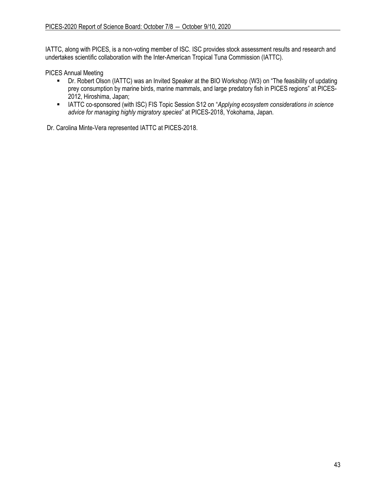IATTC, along with PICES, is a non-voting member of ISC. ISC provides stock assessment results and research and undertakes scientific collaboration with the Inter-American Tropical Tuna Commission (IATTC).

PICES Annual Meeting

- Dr. Robert Olson (IATTC) was an Invited Speaker at the BIO Workshop (W3) on "The feasibility of updating prey consumption by marine birds, marine mammals, and large predatory fish in PICES regions" at PICES-2012, Hiroshima, Japan;
- IATTC co-sponsored (with ISC) FIS Topic Session S12 on "*Applying ecosystem considerations in science advice for managing highly migratory species*" at PICES-2018, Yokohama, Japan.

Dr. Carolina Minte-Vera represented IATTC at PICES-2018.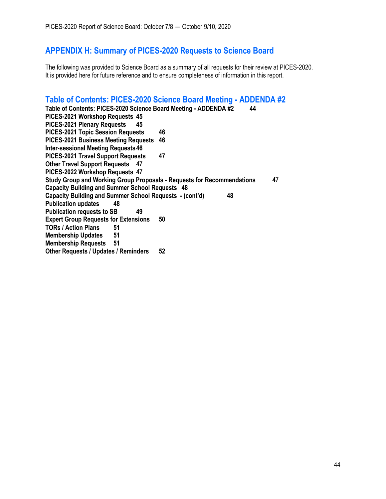# **APPENDIX H: Summary of PICES-2020 Requests to Science Board**

The following was provided to Science Board as a summary of all requests for their review at PICES-2020. It is provided here for future reference and to ensure completeness of information in this report.

# <span id="page-43-0"></span>**Table of Contents: PICES-2020 Science Board Meeting - ADDENDA #2**

| Table of Contents: PICES-2020 Science Board Meeting - ADDENDA #2       | 44 |
|------------------------------------------------------------------------|----|
| PICES-2021 Workshop Requests 45                                        |    |
| PICES-2021 Plenary Requests<br>45                                      |    |
| <b>PICES-2021 Topic Session Requests</b>                               | 46 |
| <b>PICES-2021 Business Meeting Requests</b>                            | 46 |
| <b>Inter-sessional Meeting Requests 46</b>                             |    |
| <b>PICES-2021 Travel Support Requests</b>                              | 47 |
| <b>Other Travel Support Requests 47</b>                                |    |
| PICES-2022 Workshop Requests 47                                        |    |
| Study Group and Working Group Proposals - Requests for Recommendations | 47 |
| <b>Capacity Building and Summer School Requests 48</b>                 |    |
| Capacity Building and Summer School Requests - (cont'd)                | 48 |
| <b>Publication updates</b><br>48                                       |    |
| <b>Publication requests to SB</b><br>49                                |    |
| <b>Expert Group Requests for Extensions</b>                            | 50 |
| <b>TORs / Action Plans</b><br>51                                       |    |
| 51<br><b>Membership Updates</b>                                        |    |
| <b>Membership Requests 51</b>                                          |    |
| <b>Other Requests / Updates / Reminders</b>                            | 52 |
|                                                                        |    |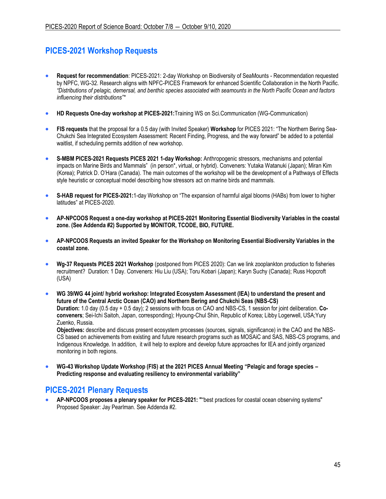# <span id="page-44-0"></span>**PICES-2021 Workshop Requests**

- **Request for recommendation**: PICES-2021: 2-day Workshop on Biodiversity of SeaMounts Recommendation requested by NPFC, WG-32. Research aligns with NPFC-PICES Framework for enhanced Scientific Collaboration in the North Pacific. *"Distributions of pelagic, demersal, and benthic species associated with seamounts in the North Pacific Ocean and factors influencing their distributions"\**
- **HD Requests One-day workshop at PICES-2021:**Training WS on Sci.Communication (WG-Communication)
- **FIS requests** that the proposal for a 0.5 day (with Invited Speaker) **Workshop** for PICES 2021: "The Northern Bering Sea-Chukchi Sea Integrated Ecosystem Assessment: Recent Finding, Progress, and the way forward" be added to a potential waitlist, if scheduling permits addition of new workshop.
- **S-MBM PICES-2021 Requests PICES 2021 1-day Workshop:** Anthropogenic stressors, mechanisms and potential impacts on Marine Birds and Mammals" (in person\*, virtual, or hybrid). Conveners: Yutaka Watanuki (Japan); Miran Kim (Korea); Patrick D. O'Hara (Canada). The main outcomes of the workshop will be the development of a Pathways of Effects style heuristic or conceptual model describing how stressors act on marine birds and mammals.
- **S-HAB request for PICES-2021:**1-day Workshop on "The expansion of harmful algal blooms (HABs) from lower to higher latitudes" at PICES-2020.
- **AP-NPCOOS Request a one-day workshop at PICES-2021 Monitoring Essential Biodiversity Variables in the coastal zone. (See Addenda #2) Supported by MONITOR, TCODE, BIO, FUTURE.**
- **AP-NPCOOS Requests an invited Speaker for the Workshop on Monitoring Essential Biodiversity Variables in the coastal zone.**
- **Wg-37 Requests PICES 2021 Workshop** (postponed from PICES 2020): Can we link zooplankton production to fisheries recruitment? Duration: 1 Day. Conveners: Hiu Liu (USA); Toru Kobari (Japan); Karyn Suchy (Canada); Russ Hopcroft (USA)
- **WG 39/WG 44 joint/ hybrid workshop: Integrated Ecosystem Assessment (IEA) to understand the present and future of the Central Arctic Ocean (CAO) and Northern Bering and Chukchi Seas (NBS-CS) Duration:** 1.0 day (0.5 day + 0.5 day); 2 sessions with focus on CAO and NBS-CS, 1 session for joint deliberation. **Coconveners**; Sei-Ichi Saitoh, Japan, corresponding); Hyoung-Chul Shin, Republic of Korea; Libby Logerwell, USA;Yury Zuenko, Russia.

**Objectives:** describe and discuss present ecosystem processes (sources, signals, significance) in the CAO and the NBS-CS based on achievements from existing and future research programs such as MOSAiC and SAS, NBS-CS programs, and Indigenous Knowledge. In addition, it will help to explore and develop future approaches for IEA and jointly organized monitoring in both regions.

• **WG-43 Workshop Update Workshop (FIS) at the 2021 PICES Annual Meeting "Pelagic and forage species – Predicting response and evaluating resiliency to environmental variability"**

# <span id="page-44-1"></span>**PICES-2021 Plenary Requests**

<span id="page-44-2"></span>• **AP-NPCOOS proposes a plenary speaker for PICES-2021: "**"best practices for coastal ocean observing systems" Proposed Speaker: Jay Pearlman. See Addenda #2.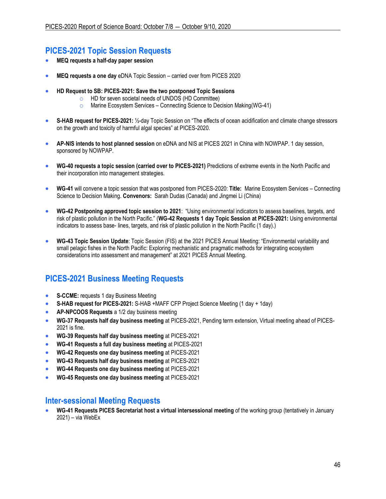## **PICES-2021 Topic Session Requests**

- **MEQ requests a half-day paper session**
- **MEQ requests a one day** eDNA Topic Session carried over from PICES 2020
- **HD Request to SB: PICES-2021: Save the two postponed Topic Sessions** 
	- o HD for seven societal needs of UNDOS (HD Committee)
	- o Marine Ecosystem Services Connecting Science to Decision Making(WG-41)
- **S-HAB request for PICES-2021:** ½-day Topic Session on "The effects of ocean acidification and climate change stressors on the growth and toxicity of harmful algal species" at PICES-2020.
- **AP-NIS intends to host planned session** on eDNA and NIS at PICES 2021 in China with NOWPAP. 1 day session, sponsored by NOWPAP.
- **WG-40 requests a topic session (carried over to PICES-2021)** Predictions of extreme events in the North Pacific and their incorporation into management strategies.
- **WG-41** will convene a topic session that was postponed from PICES-2020: **Title:** Marine Ecosystem Services Connecting Science to Decision Making. **Convenors:** Sarah Dudas (Canada) and Jingmei Li (China)
- **WG-42 Postponing approved topic session to 2021**: "Using environmental indicators to assess baselines, targets, and risk of plastic pollution in the North Pacific." (**WG-42 Requests 1 day Topic Session at PICES-2021:** Using environmental indicators to assess base- lines, targets, and risk of plastic pollution in the North Pacific (1 day).)
- **WG-43 Topic Session Update**: Topic Session (FIS) at the 2021 PICES Annual Meeting: "Environmental variability and small pelagic fishes in the North Pacific: Exploring mechanistic and pragmatic methods for integrating ecosystem considerations into assessment and management" at 2021 PICES Annual Meeting.

# <span id="page-45-0"></span>**PICES-2021 Business Meeting Requests**

- **S-CCME:** requests 1 day Business Meeting
- **S-HAB request for PICES-2021:** S-HAB +MAFF CFP Project Science Meeting (1 day + 1day)
- **AP-NPCOOS Requests** a 1/2 day business meeting
- **WG-37 Requests half day business meeting** at PICES-2021, Pending term extension, Virtual meeting ahead of PICES-2021 is fine.
- **WG-39 Requests half day business meeting** at PICES-2021
- **WG-41 Requests a full day business meeting** at PICES-2021
- **WG-42 Requests one day business meeting** at PICES-2021
- **WG-43 Requests half day business meeting** at PICES-2021
- **WG-44 Requests one day business meeting** at PICES-2021
- **WG-45 Requests one day business meeting** at PICES-2021

## <span id="page-45-1"></span>**Inter-sessional Meeting Requests**

• **WG-41 Requests PICES Secretariat host a virtual intersessional meeting** of the working group (tentatively in January 2021) – via WebEx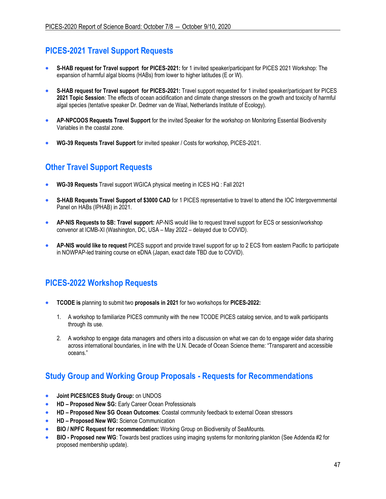# <span id="page-46-0"></span>**PICES-2021 Travel Support Requests**

- **S-HAB request for Travel support for PICES-2021:** for 1 invited speaker/participant for PICES 2021 Workshop: The expansion of harmful algal blooms (HABs) from lower to higher latitudes (E or W).
- **S-HAB request for Travel support for PICES-2021:** Travel support requested for 1 invited speaker/participant for PICES **2021 Topic Session**: The effects of ocean acidification and climate change stressors on the growth and toxicity of harmful algal species (tentative speaker Dr. Dedmer van de Waal, Netherlands Institute of Ecology).
- **AP-NPCOOS Requests Travel Support** for the invited Speaker for the workshop on Monitoring Essential Biodiversity Variables in the coastal zone.
- **WG-39 Requests Travel Support** for invited speaker / Costs for workshop, PICES-2021.

# <span id="page-46-1"></span>**Other Travel Support Requests**

- **WG-39 Requests** Travel support WGICA physical meeting in ICES HQ : Fall 2021
- **S-HAB Requests Travel Support of \$3000 CAD** for 1 PICES representative to travel to attend the IOC Intergovernmental Panel on HABs (IPHAB) in 2021.
- **AP-NIS Requests to SB: Travel support:** AP-NIS would like to request travel support for ECS or session/workshop convenor at ICMB-XI (Washington, DC, USA – May 2022 – delayed due to COVID).
- **AP-NIS would like to request** PICES support and provide travel support for up to 2 ECS from eastern Pacific to participate in NOWPAP-led training course on eDNA (Japan, exact date TBD due to COVID).

# <span id="page-46-2"></span>**PICES-2022 Workshop Requests**

- **TCODE is** planning to submit two **proposals in 2021** for two workshops for **PICES-2022:**
	- 1. A workshop to familiarize PICES community with the new TCODE PICES catalog service, and to walk participants through its use.
	- 2. A workshop to engage data managers and others into a discussion on what we can do to engage wider data sharing across international boundaries, in line with the U.N. Decade of Ocean Science theme: "Transparent and accessible oceans."

# <span id="page-46-3"></span>**Study Group and Working Group Proposals - Requests for Recommendations**

- **Joint PICES/ICES Study Group:** on UNDOS
- **HD – Proposed New SG:** Early Career Ocean Professionals
- **HD – Proposed New SG Ocean Outcomes**: Coastal community feedback to external Ocean stressors
- **HD – Proposed New WG:** Science Communication
- **BIO / NPFC Request for recommendation:** Working Group on Biodiversity of SeaMounts.
- **BIO - Proposed new WG**: Towards best practices using imaging systems for monitoring plankton (See Addenda #2 for proposed membership update).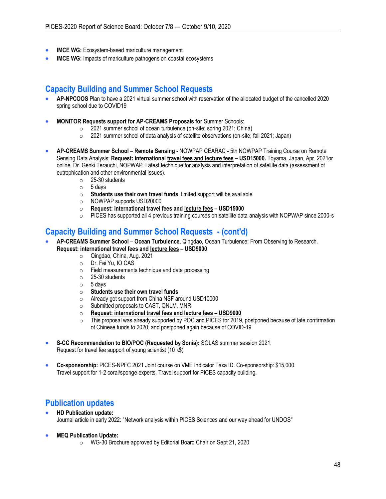- **IMCE WG:** Ecosystem-based mariculture management
- **IMCE WG:** Impacts of mariculture pathogens on coastal ecosystems

# <span id="page-47-0"></span>**Capacity Building and Summer School Requests**

- **AP-NPCOOS** Plan to have a 2021 virtual summer school with reservation of the allocated budget of the cancelled 2020 spring school due to COVID19
- **MONITOR Requests support for AP-CREAMS Proposals for** Summer Schools:
	- o 2021 summer school of ocean turbulence (on-site; spring 2021; China)
	- o 2021 summer school of data analysis of satellite observations (on-site; fall 2021; Japan)
- **AP-CREAMS Summer School Remote Sensing** NOWPAP CEARAC 5th NOWPAP Training Course on Remote Sensing Data Analysis: **Request: international travel fees and lecture fees – USD15000.** Toyama, Japan, Apr. 2021or online. Dr. Genki Terauchi, NOPWAP. Latest technique for analysis and interpretation of satellite data (assessment of eutrophication and other environmental issues).
	- o 25-30 students
	- $\circ$  5 days
	- o **Students use their own travel funds**, limited support will be available
	- o NOWPAP supports USD20000
	- o **Request: international travel fees and lecture fees – USD15000**
	- PICES has supported all 4 previous training courses on satellite data analysis with NOPWAP since 2000-s

# <span id="page-47-1"></span>**Capacity Building and Summer School Requests - (cont'd)**

- **AP-CREAMS Summer School Ocean Turbulence**, Qingdao, Ocean Turbulence: From Observing to Research. **Request: international travel fees and lecture fees – USD9000**
	- o Qingdao, China, Aug. 2021<br>○ Dr. Fei Yu. IO CAS
		- Dr. Fei Yu, IO CAS
		- o Field measurements technique and data processing
		- o 25-30 students
		- $\circ$  5 days
		- o **Students use their own travel funds**
		- o Already got support from China NSF around USD10000
		- o Submitted proposals to CAST, QNLM, MNR
		- o **Request: international travel fees and lecture fees – USD9000**
		- $\circ$  This proposal was already supported by POC and PICES for 2019, postponed because of late confirmation of Chinese funds to 2020, and postponed again because of COVID-19.
- **S-CC Recommendation to BIO/POC (Requested by Sonia):** SOLAS summer session 2021: Request for travel fee support of young scientist (10 k\$)
- **Co-sponsorship:** PICES-NPFC 2021 Joint course on VME Indicator Taxa ID. Co-sponsorship: \$15,000. Travel support for 1-2 coral/sponge experts, Travel support for PICES capacity building.

# <span id="page-47-2"></span>**Publication updates**

- **HD Publication update:** Journal article in early 2022: "Network analysis within PICES Sciences and our way ahead for UNDOS"
- **MEQ Publication Update:**
	- o WG-30 Brochure approved by Editorial Board Chair on Sept 21, 2020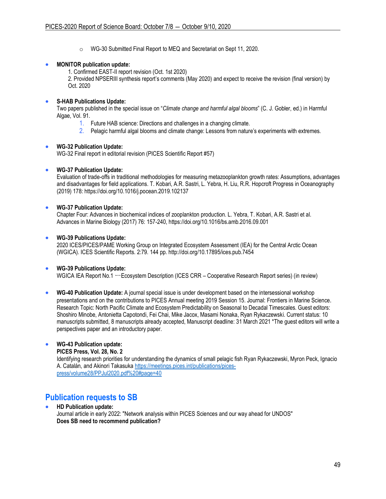o WG-30 Submitted Final Report to MEQ and Secretariat on Sept 11, 2020.

### • **MONITOR publication update:**

1. Confirmed EAST-II report revision (Oct. 1st 2020)

2. Provided NPSERIII synthesis report's comments (May 2020) and expect to receive the revision (final version) by Oct. 2020

### • **S-HAB Publications Update:**

Two papers published in the special issue on "*Climate change and harmful algal blooms*" (C. J. Gobler, ed.) in Harmful Algae, Vol. 91.

- 1. Future HAB science: Directions and challenges in a changing climate.
- 2. Pelagic harmful algal blooms and climate change: Lessons from nature's experiments with extremes.

### • **WG-32 Publication Update:**

WG-32 Final report in editorial revision (PICES Scientific Report #57)

### • **WG-37 Publication Update:**

Evaluation of trade-offs in traditional methodologies for measuring metazooplankton growth rates: Assumptions, advantages and disadvantages for field applications. T. Kobari, A.R. Sastri, L. Yebra, H. Liu, R.R. Hopcroft Progress in Oceanography (2019) 178: https://doi.org/10.1016/j.pocean.2019.102137

### • **WG-37 Publication Update:**

Chapter Four: Advances in biochemical indices of zooplankton production. L. Yebra, T. Kobari, A.R. Sastri et al. Advances in Marine Biology (2017) 76: 157-240, https://doi.org/10.1016/bs.amb.2016.09.001

#### • **WG-39 Publications Update:**

2020 ICES/PICES/PAME Working Group on Integrated Ecosystem Assessment (IEA) for the Central Arctic Ocean (WGICA). ICES Scientific Reports. 2:79. 144 pp. http://doi.org/10.17895/ices.pub.7454

### • **WG-39 Publications Update:**

WGICA IEA Report No.1 ーEcosystem Description (ICES CRR – Cooperative Research Report series) (in review)

• **WG-40 Publication Update:** A journal special issue is under development based on the intersessional workshop presentations and on the contributions to PICES Annual meeting 2019 Session 15. Journal: Frontiers in Marine Science. Research Topic: North Pacific Climate and Ecosystem Predictability on Seasonal to Decadal Timescales. Guest editors: Shoshiro Minobe, Antonietta Capotondi, Fei Chai, Mike Jacox, Masami Nonaka, Ryan Rykaczewski. Current status: 10 manuscripts submitted, 8 manuscripts already accepted, Manuscript deadline: 31 March 2021 \*The guest editors will write a perspectives paper and an introductory paper.

### • **WG-43 Publication update:**

**PICES Press, Vol. 28, No. 2**

Identifying research priorities for understanding the dynamics of small pelagic fish Ryan Rykaczewski, Myron Peck, Ignacio A. Catalán, and Akinori Takasuka [https://meetings.pices.int/publications/pices](https://meetings.pices.int/publications/pices-press/volume28/PPJul2020.pdf#page=40)[press/volume28/PPJul2020.pdf%20#page=40](https://meetings.pices.int/publications/pices-press/volume28/PPJul2020.pdf#page=40)

# <span id="page-48-0"></span>**Publication requests to SB**

• **HD Publication update:** Journal article in early 2022: "Network analysis within PICES Sciences and our way ahead for UNDOS" **Does SB need to recommend publication?**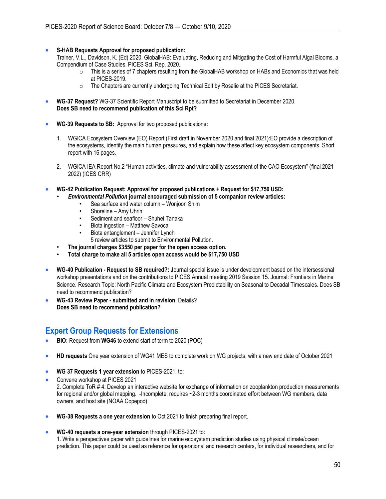### • **S-HAB Requests Approval for proposed publication:**

Trainer, V.L., Davidson, K. (Ed) 2020. GlobalHAB: Evaluating, Reducing and Mitigating the Cost of Harmful Algal Blooms, a Compendium of Case Studies. PICES Sci. Rep. 2020.

- $\circ$  This is a series of 7 chapters resulting from the GlobalHAB workshop on HABs and Economics that was held at PICES-2019.
- o The Chapters are currently undergoing Technical Edit by Rosalie at the PICES Secretariat.
- **WG-37 Request?** WG-37 Scientific Report Manuscript to be submitted to Secretariat in December 2020. **Does SB need to recommend publication of this Sci Rpt?**
- **WG-39 Requests to SB:** Approval for two proposed publications**:**
	- 1. WGICA Ecosystem Overview (EO) Report (First draft in November 2020 and final 2021):EO provide a description of the ecosystems, identify the main human pressures, and explain how these affect key ecosystem components. Short report with 16 pages.
	- 2. WGICA IEA Report No.2 "Human activities, climate and vulnerability assessment of the CAO Ecosystem" (final 2021- 2022) (ICES CRR)
- **WG-42 Publication Request: Approval for proposed publications + Request for \$17,750 USD:**
	- *Environmental Pollution* **journal encouraged submission of 5 companion review articles:** 
		- Sea surface and water column Wonjoon Shim
		- Shoreline Amy Uhrin
		- Sediment and seafloor Shuhei Tanaka
		- Biota ingestion Matthew Savoca
		- Biota entanglement Jennifer Lynch
		- 5 review articles to submit to Environmental Pollution.
	- **The journal charges \$3550 per paper for the open access option.**
	- **Total charge to make all 5 articles open access would be \$17,750 USD**
- **WG-40 Publication - Request to SB required?: J**ournal special issue is under development based on the intersessional workshop presentations and on the contributions to PICES Annual meeting 2019 Session 15. Journal: Frontiers in Marine Science. Research Topic: North Pacific Climate and Ecosystem Predictability on Seasonal to Decadal Timescales. Does SB need to recommend publication?
- **WG-43 Review Paper - submitted and in revision**. Details? **Does SB need to recommend publication?**

## <span id="page-49-0"></span>**Expert Group Requests for Extensions**

- **BIO:** Request from **WG46** to extend start of term to 2020 (POC)
- **HD requests** One year extension of WG41 MES to complete work on WG projects, with a new end date of October 2021
- **WG 37 Requests 1 year extension** to PICES-2021, to:
- Convene workshop at PICES 2021 2. Complete ToR # 4: Develop an interactive website for exchange of information on zooplankton production measurements for regional and/or global mapping. -Incomplete: requires ~2-3 months coordinated effort between WG members, data owners, and host site (NOAA Copepod)
- **WG-38 Requests a one year extension** to Oct 2021 to finish preparing final report.
- **WG-40 requests a one-year extension** through PICES-2021 to:

1. Write a perspectives paper with guidelines for marine ecosystem prediction studies using physical climate/ocean prediction. This paper could be used as reference for operational and research centers, for individual researchers, and for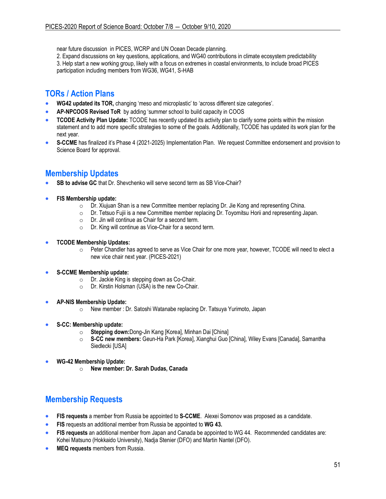near future discussion in PICES, WCRP and UN Ocean Decade planning.

2. Expand discussions on key questions, applications, and WG40 contributions in climate ecosystem predictability 3. Help start a new working group, likely with a focus on extremes in coastal environments, to include broad PICES participation including members from WG36, WG41, S-HAB

# <span id="page-50-0"></span>**TORs / Action Plans**

- **WG42 updated its TOR,** changing 'meso and microplastic' to 'across different size categories'.
- **AP-NPCOOS Revised ToR** by adding 'summer school to build capacity in COOS
- **TCODE Activity Plan Update:** TCODE has recently updated its activity plan to clarify some points within the mission statement and to add more specific strategies to some of the goals. Additionally, TCODE has updated its work plan for the next year.
- **S-CCME** has finalized it's Phase 4 (2021-2025) Implementation Plan. We request Committee endorsement and provision to Science Board for approval.

# <span id="page-50-1"></span>**Membership Updates**

- **SB to advise GC** that Dr. Shevchenko will serve second term as SB Vice-Chair?
- **FIS Membership update:**
	- $\circ$  Dr. Xiujuan Shan is a new Committee member replacing Dr. Jie Kong and representing China.
	- $\circ$  Dr. Tetsuo Fujii is a new Committee member replacing Dr. Toyomitsu Horii and representing Japan.
	- o Dr. Jin will continue as Chair for a second term.
	- o Dr. King will continue as Vice-Chair for a second term.
- **TCODE Membership Updates:**
	- o Peter Chandler has agreed to serve as Vice Chair for one more year, however, TCODE will need to elect a new vice chair next year. (PICES-2021)
- **S-CCME Membership update:**
	- o Dr. Jackie King is stepping down as Co-Chair.
	- o Dr. Kirstin Holsman (USA) is the new Co-Chair.
- **AP-NIS Membership Update:**
	- o New member : Dr. Satoshi Watanabe replacing Dr. Tatsuya Yurimoto, Japan
- **S-CC: Membership update:**
	- o **Stepping down:**Dong-Jin Kang [Korea], Minhan Dai [China]
	- o **S-CC new members:** Geun-Ha Park [Korea], Xianghui Guo [China], Wiley Evans [Canada], Samantha Siedlecki [USA]
- **WG-42 Membership Update:**
	- o **New member: Dr. Sarah Dudas, Canada**

# <span id="page-50-2"></span>**Membership Requests**

- **FIS requests** a member from Russia be appointed to **S-CCME**. Alexei Somonov was proposed as a candidate.
- **FIS** requests an additional member from Russia be appointed to **WG 43.**
- **FIS requests** an additional member from Japan and Canada be appointed to WG 44. Recommended candidates are: Kohei Matsuno (Hokkaido University), Nadja Stenier (DFO) and Martin Nantel (DFO).
- **MEQ requests** members from Russia.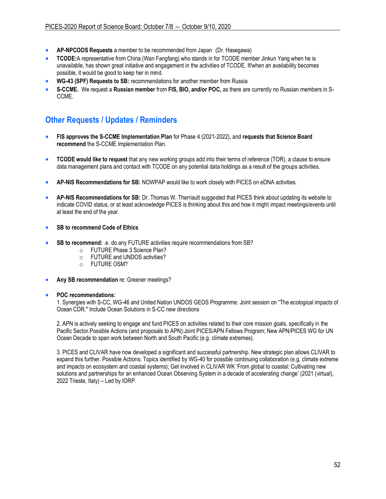- **AP-NPCOOS Requests** a member to be recommended from Japan (Dr. Hasegawa)
- **TCODE:**A representative from China (Wan Fangfang) who stands in for TCODE member Jinkun Yang when he is unavailable, has shown great initiative and engagement in the activities of TCODE. If/when an availability becomes possible, it would be good to keep her in mind.
- **WG-43 (SPF) Requests to SB:** recommendations for another member from Russia
- **S-CCME.** We request a **Russian member** from **FIS, BIO, and/or POC,** as there are currently no Russian members in S-CCME.

# <span id="page-51-0"></span>**Other Requests / Updates / Reminders**

- **FIS approves the S-CCME Implementation Plan** for Phase 4 (2021-2022), and **requests that Science Board recommend** the S-CCME Implementation Plan.
- **TCODE would like to request** that any new working groups add into their terms of reference (TOR), a clause to ensure data management plans and contact with TCODE on any potential data holdings as a result of the groups activities.
- **AP-NIS Recommendations for SB:** NOWPAP would like to work closely with PICES on eDNA activities.
- **AP-NIS Recommendations for SB:** Dr. Thomas W. Therriault suggested that PICES think about updating its website to indicate COVID status, or at least acknowledge PICES is thinking about this and how it might impact meetings/events until at least the end of the year.
- **SB to recommend Code of Ethics**
- **SB to recommend:** .e. do any FUTURE activities require recommendations from SB?
	- o FUTURE Phase 3 Science Plan?
	- o FUTURE and UNDOS activities?
	- o FUTURE OSM?
- **Any SB recommendation** re: Greener meetings?

#### • **POC recommendations:**

1. Synergies with S-CC, WG-46 and United Nation UNDOS GEOS Programme: Joint session on "The ecological impacts of Ocean CDR." Include Ocean Solutions in S-CC new directions

2. APN is actively seeking to engage and fund PICES on activities related to their core mission goals, specifically in the Pacific Sector.Possible Actions (and proposals to APN):Joint PICES/APN Fellows Program; New APN/PICES WG for UN Ocean Decade to span work between North and South Pacific (e.g. climate extremes).

3. PICES and CLIVAR have now developed a significant and successful partnership. New strategic plan allows CLIVAR to expand this further. Possible Actions: Topics identified by WG-40 for possible continuing collaboration (e.g. climate extreme and impacts on ecosystem and coastal systems); Get involved in CLIVAR WK 'From global to coastal: Cultivating new solutions and partnerships for an enhanced Ocean Observing System in a decade of accelerating change' (2021 (virtual), 2022 Trieste, Italy) – Led by IORP.